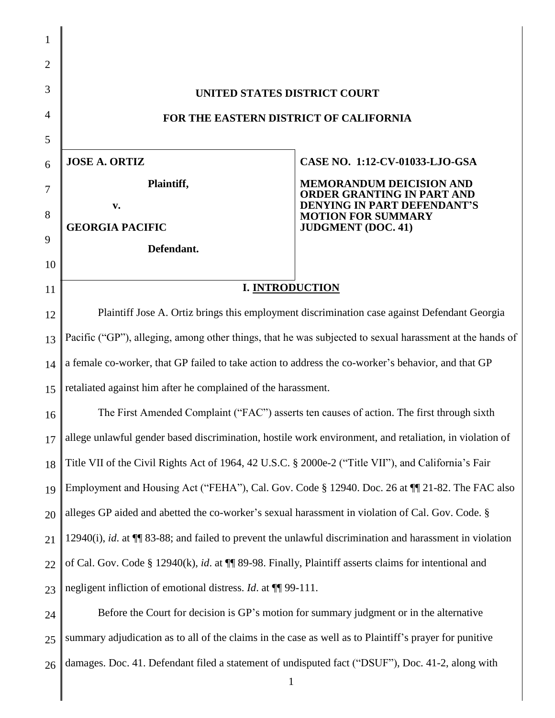| UNITED STATES DISTRICT COURT                                                                               |                                                                 |  |
|------------------------------------------------------------------------------------------------------------|-----------------------------------------------------------------|--|
| FOR THE EASTERN DISTRICT OF CALIFORNIA                                                                     |                                                                 |  |
|                                                                                                            |                                                                 |  |
| <b>JOSE A. ORTIZ</b>                                                                                       | CASE NO. 1:12-CV-01033-LJO-GSA                                  |  |
| Plaintiff,                                                                                                 | <b>MEMORANDUM DEICISION AND</b><br>ORDER GRANTING IN PART AND   |  |
| $\mathbf{v}$ .                                                                                             | <b>DENYING IN PART DEFENDANT'S</b><br><b>MOTION FOR SUMMARY</b> |  |
|                                                                                                            | <b>JUDGMENT</b> (DOC. 41)                                       |  |
|                                                                                                            |                                                                 |  |
| <b>I. INTRODUCTION</b>                                                                                     |                                                                 |  |
| Plaintiff Jose A. Ortiz brings this employment discrimination case against Defendant Georgia               |                                                                 |  |
| Pacific ("GP"), alleging, among other things, that he was subjected to sexual harassment at the hands of   |                                                                 |  |
| a female co-worker, that GP failed to take action to address the co-worker's behavior, and that GP         |                                                                 |  |
| retaliated against him after he complained of the harassment.                                              |                                                                 |  |
| The First Amended Complaint ("FAC") asserts ten causes of action. The first through sixth                  |                                                                 |  |
| allege unlawful gender based discrimination, hostile work environment, and retaliation, in violation of    |                                                                 |  |
| Title VII of the Civil Rights Act of 1964, 42 U.S.C. § 2000e-2 ("Title VII"), and California's Fair        |                                                                 |  |
| Employment and Housing Act ("FEHA"), Cal. Gov. Code § 12940. Doc. 26 at ¶ 21-82. The FAC also              |                                                                 |  |
| alleges GP aided and abetted the co-worker's sexual harassment in violation of Cal. Gov. Code. §           |                                                                 |  |
| 12940(i), id. at $\P$ 83-88; and failed to prevent the unlawful discrimination and harassment in violation |                                                                 |  |
| of Cal. Gov. Code § 12940(k), id. at $\P$ 89-98. Finally, Plaintiff asserts claims for intentional and     |                                                                 |  |
| negligent infliction of emotional distress. <i>Id.</i> at <b>[1]</b> 99-111.                               |                                                                 |  |
| Before the Court for decision is GP's motion for summary judgment or in the alternative                    |                                                                 |  |
| summary adjudication as to all of the claims in the case as well as to Plaintiff's prayer for punitive     |                                                                 |  |
| damages. Doc. 41. Defendant filed a statement of undisputed fact ("DSUF"), Doc. 41-2, along with           |                                                                 |  |
| $\mathbf{1}$                                                                                               |                                                                 |  |
|                                                                                                            | <b>GEORGIA PACIFIC</b><br>Defendant.                            |  |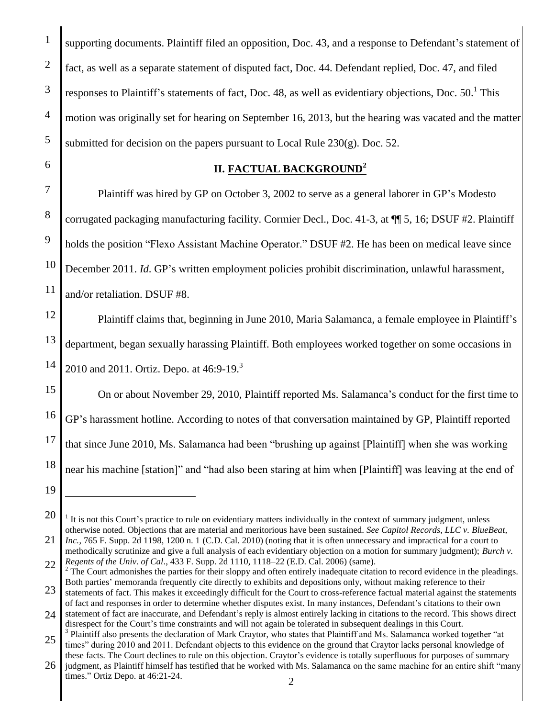supporting documents. Plaintiff filed an opposition, Doc. 43, and a response to Defendant's statement of fact, as well as a separate statement of disputed fact, Doc. 44. Defendant replied, Doc. 47, and filed responses to Plaintiff's statements of fact, Doc. 48, as well as evidentiary objections, Doc.  $50<sup>1</sup>$  This motion was originally set for hearing on September 16, 2013, but the hearing was vacated and the matter submitted for decision on the papers pursuant to Local Rule  $230(g)$ . Doc. 52.

## **II. FACTUAL BACKGROUND<sup>2</sup>**

Plaintiff was hired by GP on October 3, 2002 to serve as a general laborer in GP's Modesto corrugated packaging manufacturing facility. Cormier Decl., Doc. 41-3, at ¶¶ 5, 16; DSUF #2. Plaintiff holds the position "Flexo Assistant Machine Operator." DSUF #2. He has been on medical leave since December 2011. *Id*. GP's written employment policies prohibit discrimination, unlawful harassment, and/or retaliation. DSUF #8.

Plaintiff claims that, beginning in June 2010, Maria Salamanca, a female employee in Plaintiff's

department, began sexually harassing Plaintiff. Both employees worked together on some occasions in

2010 and 2011. Ortiz. Depo. at 46:9-19.<sup>3</sup>

16 On or about November 29, 2010, Plaintiff reported Ms. Salamanca's conduct for the first time to GP's harassment hotline. According to notes of that conversation maintained by GP, Plaintiff reported that since June 2010, Ms. Salamanca had been "brushing up against [Plaintiff] when she was working near his machine [station]" and "had also been staring at him when [Plaintiff] was leaving at the end of

19

 $\overline{a}$ 

<sup>20</sup> 21  $<sup>1</sup>$  It is not this Court's practice to rule on evidentiary matters individually in the context of summary judgment, unless</sup> otherwise noted. Objections that are material and meritorious have been sustained. *See Capitol Records, LLC v. BlueBeat, Inc.*, 765 F. Supp. 2d 1198, 1200 n. 1 (C.D. Cal. 2010) (noting that it is often unnecessary and impractical for a court to

<sup>22</sup> methodically scrutinize and give a full analysis of each evidentiary objection on a motion for summary judgment); *Burch v. Regents of the Univ. of Cal*., 433 F. Supp. 2d 1110, 1118–22 (E.D. Cal. 2006) (same).

 $2$  The Court admonishes the parties for their sloppy and often entirely inadequate citation to record evidence in the pleadings. Both parties' memoranda frequently cite directly to exhibits and depositions only, without making reference to their

<sup>23</sup> statements of fact. This makes it exceedingly difficult for the Court to cross-reference factual material against the statements of fact and responses in order to determine whether disputes exist. In many instances, Defendant's citations to their own

<sup>24</sup> statement of fact are inaccurate, and Defendant's reply is almost entirely lacking in citations to the record. This shows direct disrespect for the Court's time constraints and will not again be tolerated in subsequent dealings in this Court. <sup>3</sup> Plaintiff also presents the declaration of Mark Craytor, who states that Plaintiff and Ms. Salamanca worked together "at

<sup>25</sup> times" during 2010 and 2011. Defendant objects to this evidence on the ground that Craytor lacks personal knowledge of these facts. The Court declines to rule on this objection. Craytor's evidence is totally superfluous for purposes of summary

<sup>26</sup> 2 judgment, as Plaintiff himself has testified that he worked with Ms. Salamanca on the same machine for an entire shift "many times." Ortiz Depo. at 46:21-24.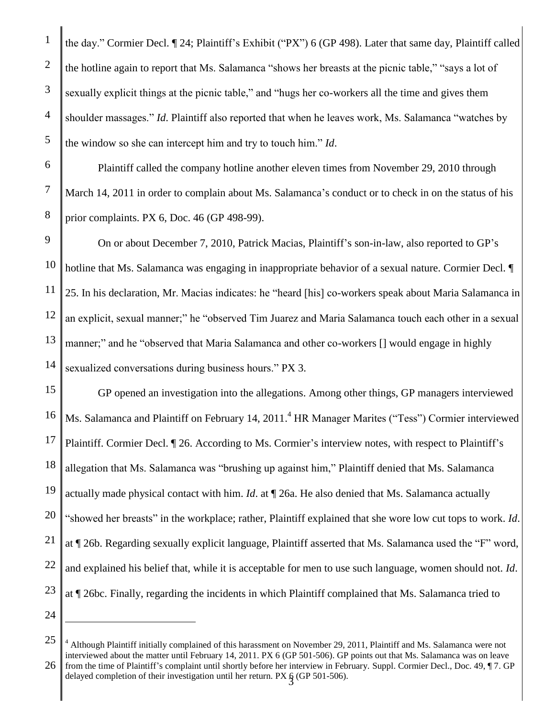1

2

the day." Cormier Decl. ¶ 24; Plaintiff's Exhibit ("PX") 6 (GP 498). Later that same day, Plaintiff called the hotline again to report that Ms. Salamanca "shows her breasts at the picnic table," "says a lot of sexually explicit things at the picnic table," and "hugs her co-workers all the time and gives them shoulder massages." *Id*. Plaintiff also reported that when he leaves work, Ms. Salamanca "watches by the window so she can intercept him and try to touch him." *Id*.

Plaintiff called the company hotline another eleven times from November 29, 2010 through March 14, 2011 in order to complain about Ms. Salamanca's conduct or to check in on the status of his prior complaints. PX 6, Doc. 46 (GP 498-99).

On or about December 7, 2010, Patrick Macias, Plaintiff's son-in-law, also reported to GP's hotline that Ms. Salamanca was engaging in inappropriate behavior of a sexual nature. Cormier Decl.  $\P$ 25. In his declaration, Mr. Macias indicates: he "heard [his] co-workers speak about Maria Salamanca in an explicit, sexual manner;" he "observed Tim Juarez and Maria Salamanca touch each other in a sexual manner;" and he "observed that Maria Salamanca and other co-workers [] would engage in highly sexualized conversations during business hours." PX 3.

22 23 GP opened an investigation into the allegations. Among other things, GP managers interviewed Ms. Salamanca and Plaintiff on February 14, 2011.<sup>4</sup> HR Manager Marites ("Tess") Cormier interviewed Plaintiff. Cormier Decl. ¶ 26. According to Ms. Cormier's interview notes, with respect to Plaintiff's allegation that Ms. Salamanca was "brushing up against him," Plaintiff denied that Ms. Salamanca actually made physical contact with him. *Id*. at ¶ 26a. He also denied that Ms. Salamanca actually "showed her breasts" in the workplace; rather, Plaintiff explained that she wore low cut tops to work. *Id*. at ¶ 26b. Regarding sexually explicit language, Plaintiff asserted that Ms. Salamanca used the "F" word, and explained his belief that, while it is acceptable for men to use such language, women should not. *Id*. at ¶ 26bc. Finally, regarding the incidents in which Plaintiff complained that Ms. Salamanca tried to

24

 $\overline{a}$ 

<sup>25</sup> 26 delayed completion of their investigation until her return. PX § (GP 501-506).  $<sup>4</sup>$  Although Plaintiff initially complained of this harassment on November 29, 2011, Plaintiff and Ms. Salamanca were not</sup> interviewed about the matter until February 14, 2011. PX 6 (GP 501-506). GP points out that Ms. Salamanca was on leave from the time of Plaintiff's complaint until shortly before her interview in February. Suppl. Cormier Decl., Doc. 49, ¶ 7. GP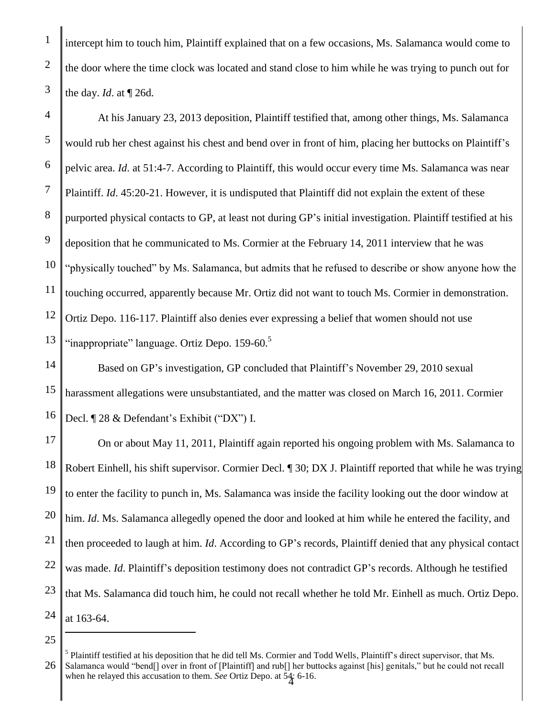intercept him to touch him, Plaintiff explained that on a few occasions, Ms. Salamanca would come to the door where the time clock was located and stand close to him while he was trying to punch out for the day. *Id*. at ¶ 26d.

4 5 6 7 8 9 10 11 12 13 At his January 23, 2013 deposition, Plaintiff testified that, among other things, Ms. Salamanca would rub her chest against his chest and bend over in front of him, placing her buttocks on Plaintiff's pelvic area. *Id*. at 51:4-7. According to Plaintiff, this would occur every time Ms. Salamanca was near Plaintiff. *Id*. 45:20-21. However, it is undisputed that Plaintiff did not explain the extent of these purported physical contacts to GP, at least not during GP's initial investigation. Plaintiff testified at his deposition that he communicated to Ms. Cormier at the February 14, 2011 interview that he was "physically touched" by Ms. Salamanca, but admits that he refused to describe or show anyone how the touching occurred, apparently because Mr. Ortiz did not want to touch Ms. Cormier in demonstration. Ortiz Depo. 116-117. Plaintiff also denies ever expressing a belief that women should not use "inappropriate" language. Ortiz Depo. 159-60.<sup>5</sup>

14 15 16 Based on GP's investigation, GP concluded that Plaintiff's November 29, 2010 sexual harassment allegations were unsubstantiated, and the matter was closed on March 16, 2011. Cormier Decl. ¶ 28 & Defendant's Exhibit ("DX") I.

17 18 19 20 21 22 23 24 On or about May 11, 2011, Plaintiff again reported his ongoing problem with Ms. Salamanca to Robert Einhell, his shift supervisor. Cormier Decl. ¶ 30; DX J. Plaintiff reported that while he was trying to enter the facility to punch in, Ms. Salamanca was inside the facility looking out the door window at him. *Id*. Ms. Salamanca allegedly opened the door and looked at him while he entered the facility, and then proceeded to laugh at him. *Id*. According to GP's records, Plaintiff denied that any physical contact was made. *Id*. Plaintiff's deposition testimony does not contradict GP's records. Although he testified that Ms. Salamanca did touch him, he could not recall whether he told Mr. Einhell as much. Ortiz Depo. at 163-64.

 $\overline{a}$ 

1

2

<sup>25</sup>

<sup>26</sup> 4 when he relayed this accusation to them. *See* Ortiz Depo. at 54: 6-16. <sup>5</sup> Plaintiff testified at his deposition that he did tell Ms. Cormier and Todd Wells, Plaintiff's direct supervisor, that Ms. Salamanca would "bend[] over in front of [Plaintiff] and rub[] her buttocks against [his] genitals," but he could not recall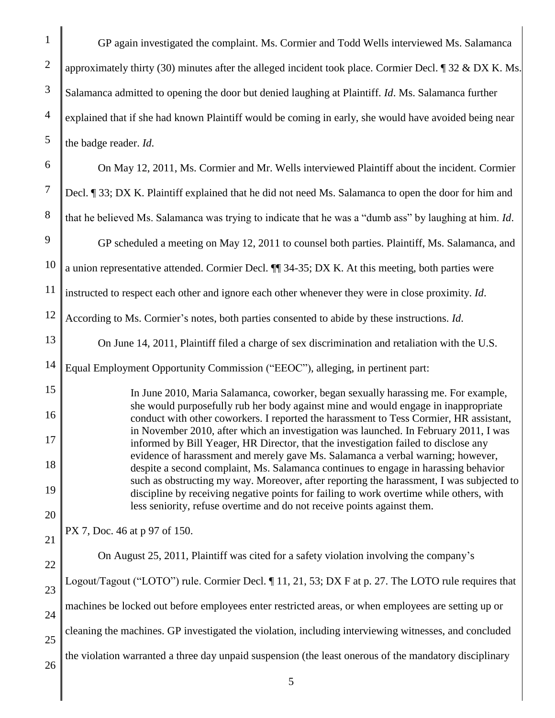1 2 3 4 5 6 7 8 9 10 11 12 13 14 15 16 17 18 19 20 21 22 23 24 25 26 GP again investigated the complaint. Ms. Cormier and Todd Wells interviewed Ms. Salamanca approximately thirty (30) minutes after the alleged incident took place. Cormier Decl.  $\parallel$  32 & DX K. Ms. Salamanca admitted to opening the door but denied laughing at Plaintiff. *Id*. Ms. Salamanca further explained that if she had known Plaintiff would be coming in early, she would have avoided being near the badge reader. *Id*. On May 12, 2011, Ms. Cormier and Mr. Wells interviewed Plaintiff about the incident. Cormier Decl. ¶ 33; DX K. Plaintiff explained that he did not need Ms. Salamanca to open the door for him and that he believed Ms. Salamanca was trying to indicate that he was a "dumb ass" by laughing at him. *Id*. GP scheduled a meeting on May 12, 2011 to counsel both parties. Plaintiff, Ms. Salamanca, and a union representative attended. Cormier Decl. ¶¶ 34-35; DX K. At this meeting, both parties were instructed to respect each other and ignore each other whenever they were in close proximity. *Id*. According to Ms. Cormier's notes, both parties consented to abide by these instructions. *Id*. On June 14, 2011, Plaintiff filed a charge of sex discrimination and retaliation with the U.S. Equal Employment Opportunity Commission ("EEOC"), alleging, in pertinent part: In June 2010, Maria Salamanca, coworker, began sexually harassing me. For example, she would purposefully rub her body against mine and would engage in inappropriate conduct with other coworkers. I reported the harassment to Tess Cormier, HR assistant, in November 2010, after which an investigation was launched. In February 2011, I was informed by Bill Yeager, HR Director, that the investigation failed to disclose any evidence of harassment and merely gave Ms. Salamanca a verbal warning; however, despite a second complaint, Ms. Salamanca continues to engage in harassing behavior such as obstructing my way. Moreover, after reporting the harassment, I was subjected to discipline by receiving negative points for failing to work overtime while others, with less seniority, refuse overtime and do not receive points against them. PX 7, Doc. 46 at p 97 of 150. On August 25, 2011, Plaintiff was cited for a safety violation involving the company's Logout/Tagout ("LOTO") rule. Cormier Decl. ¶ 11, 21, 53; DX F at p. 27. The LOTO rule requires that machines be locked out before employees enter restricted areas, or when employees are setting up or cleaning the machines. GP investigated the violation, including interviewing witnesses, and concluded the violation warranted a three day unpaid suspension (the least onerous of the mandatory disciplinary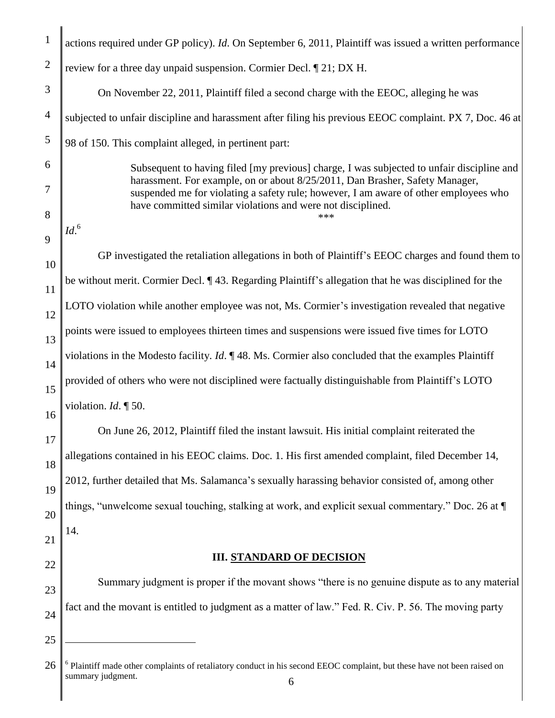| $\mathbf{1}$   | actions required under GP policy). Id. On September 6, 2011, Plaintiff was issued a written performance                                                              |  |
|----------------|----------------------------------------------------------------------------------------------------------------------------------------------------------------------|--|
| $\overline{2}$ | review for a three day unpaid suspension. Cormier Decl. ¶ 21; DX H.                                                                                                  |  |
| 3              | On November 22, 2011, Plaintiff filed a second charge with the EEOC, alleging he was                                                                                 |  |
| $\overline{4}$ | subjected to unfair discipline and harassment after filing his previous EEOC complaint. PX 7, Doc. 46 at                                                             |  |
| 5              | 98 of 150. This complaint alleged, in pertinent part:                                                                                                                |  |
| 6              | Subsequent to having filed [my previous] charge, I was subjected to unfair discipline and                                                                            |  |
| 7              | harassment. For example, on or about 8/25/2011, Dan Brasher, Safety Manager,<br>suspended me for violating a safety rule; however, I am aware of other employees who |  |
| 8              | have committed similar violations and were not disciplined.<br>***<br>Id. <sup>6</sup>                                                                               |  |
| 9              |                                                                                                                                                                      |  |
| 10             | GP investigated the retaliation allegations in both of Plaintiff's EEOC charges and found them to                                                                    |  |
| 11             | be without merit. Cormier Decl. ¶43. Regarding Plaintiff's allegation that he was disciplined for the                                                                |  |
| 12             | LOTO violation while another employee was not, Ms. Cormier's investigation revealed that negative                                                                    |  |
| 13             | points were issued to employees thirteen times and suspensions were issued five times for LOTO                                                                       |  |
| 14             | violations in the Modesto facility. <i>Id.</i> $\P$ 48. Ms. Cormier also concluded that the examples Plaintiff                                                       |  |
| 15             | provided of others who were not disciplined were factually distinguishable from Plaintiff's LOTO                                                                     |  |
| 16             | violation. $Id. \P 50$ .                                                                                                                                             |  |
| 17             | On June 26, 2012, Plaintiff filed the instant lawsuit. His initial complaint reiterated the                                                                          |  |
| 18             | allegations contained in his EEOC claims. Doc. 1. His first amended complaint, filed December 14,                                                                    |  |
| 19             | 2012, further detailed that Ms. Salamanca's sexually harassing behavior consisted of, among other                                                                    |  |
| 20             | things, "unwelcome sexual touching, stalking at work, and explicit sexual commentary." Doc. 26 at ¶                                                                  |  |
| 21             | 14.                                                                                                                                                                  |  |
| 22             | <b>III. STANDARD OF DECISION</b>                                                                                                                                     |  |
| 23             | Summary judgment is proper if the movant shows "there is no genuine dispute as to any material                                                                       |  |
| 24             | fact and the movant is entitled to judgment as a matter of law." Fed. R. Civ. P. 56. The moving party                                                                |  |
| 25             |                                                                                                                                                                      |  |
|                |                                                                                                                                                                      |  |
| 26             | <sup>6</sup> Plaintiff made other complaints of retaliatory conduct in his second EEOC complaint, but these have not been raised on<br>summary judgment.<br>6        |  |

 $\parallel$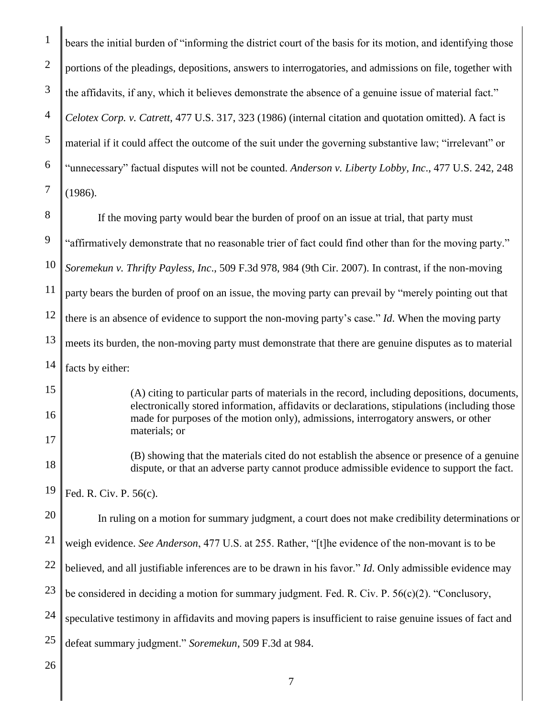1 2 3 4 5 6 7 bears the initial burden of "informing the district court of the basis for its motion, and identifying those portions of the pleadings, depositions, answers to interrogatories, and admissions on file, together with the affidavits, if any, which it believes demonstrate the absence of a genuine issue of material fact." *Celotex Corp. v. Catrett*, 477 U.S. 317, 323 (1986) (internal citation and quotation omitted). A fact is material if it could affect the outcome of the suit under the governing substantive law; "irrelevant" or "unnecessary" factual disputes will not be counted. *Anderson v. Liberty Lobby, Inc*., 477 U.S. 242, 248 (1986).

8 9 10 11 12 13 14 If the moving party would bear the burden of proof on an issue at trial, that party must "affirmatively demonstrate that no reasonable trier of fact could find other than for the moving party." *Soremekun v. Thrifty Payless, Inc*., 509 F.3d 978, 984 (9th Cir. 2007). In contrast, if the non-moving party bears the burden of proof on an issue, the moving party can prevail by "merely pointing out that there is an absence of evidence to support the non-moving party's case." *Id*. When the moving party meets its burden, the non-moving party must demonstrate that there are genuine disputes as to material facts by either:

(A) citing to particular parts of materials in the record, including depositions, documents, electronically stored information, affidavits or declarations, stipulations (including those made for purposes of the motion only), admissions, interrogatory answers, or other materials; or

(B) showing that the materials cited do not establish the absence or presence of a genuine dispute, or that an adverse party cannot produce admissible evidence to support the fact.

19 Fed. R. Civ. P. 56(c).

20 In ruling on a motion for summary judgment, a court does not make credibility determinations or

21 weigh evidence. *See Anderson*, 477 U.S. at 255. Rather, "[t]he evidence of the non-movant is to be

22 believed, and all justifiable inferences are to be drawn in his favor." *Id*. Only admissible evidence may

23 be considered in deciding a motion for summary judgment. Fed. R. Civ. P. 56(c)(2). "Conclusory,

24 speculative testimony in affidavits and moving papers is insufficient to raise genuine issues of fact and

25 defeat summary judgment." *Soremekun*, 509 F.3d at 984.

26

15

16

17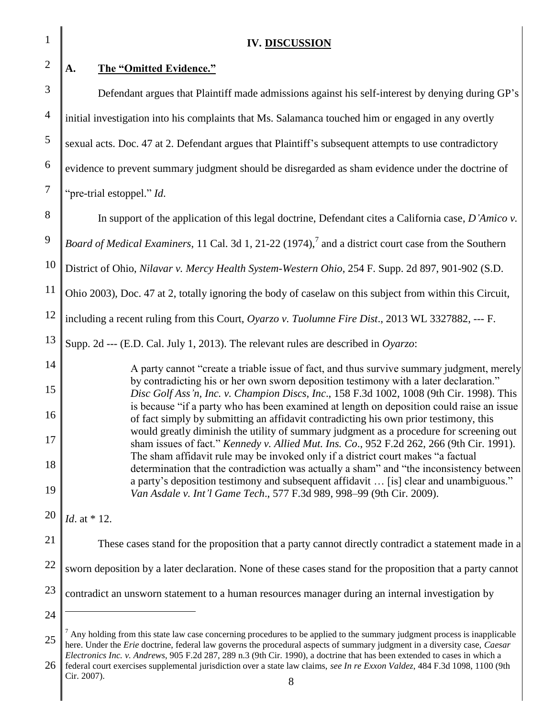1 2 3 4 5 6 7 8 9 10 11 12 13 14 15 16 17 18 19 20 21 22 23 24 25 **IV. DISCUSSION A. The "Omitted Evidence."**  Defendant argues that Plaintiff made admissions against his self-interest by denying during GP's initial investigation into his complaints that Ms. Salamanca touched him or engaged in any overtly sexual acts. Doc. 47 at 2. Defendant argues that Plaintiff's subsequent attempts to use contradictory evidence to prevent summary judgment should be disregarded as sham evidence under the doctrine of "pre-trial estoppel." *Id*. In support of the application of this legal doctrine, Defendant cites a California case, *D'Amico v. Board of Medical Examiners*, 11 Cal. 3d 1, 21-22 (1974), 7 and a district court case from the Southern District of Ohio, *Nilavar v. Mercy Health System-Western Ohio*, 254 F. Supp. 2d 897, 901-902 (S.D. Ohio 2003), Doc. 47 at 2, totally ignoring the body of caselaw on this subject from within this Circuit, including a recent ruling from this Court, *Oyarzo v. Tuolumne Fire Dist*., 2013 WL 3327882, --- F. Supp. 2d --- (E.D. Cal. July 1, 2013). The relevant rules are described in *Oyarzo*: A party cannot "create a triable issue of fact, and thus survive summary judgment, merely by contradicting his or her own sworn deposition testimony with a later declaration." *Disc Golf Ass'n, Inc. v. Champion Discs, Inc*., 158 F.3d 1002, 1008 (9th Cir. 1998). This is because "if a party who has been examined at length on deposition could raise an issue of fact simply by submitting an affidavit contradicting his own prior testimony, this would greatly diminish the utility of summary judgment as a procedure for screening out sham issues of fact." *Kennedy v. Allied Mut. Ins. Co*., 952 F.2d 262, 266 (9th Cir. 1991). The sham affidavit rule may be invoked only if a district court makes "a factual determination that the contradiction was actually a sham" and "the inconsistency between a party's deposition testimony and subsequent affidavit … [is] clear and unambiguous." *Van Asdale v. Int'l Game Tech*., 577 F.3d 989, 998–99 (9th Cir. 2009). *Id*. at \* 12. These cases stand for the proposition that a party cannot directly contradict a statement made in a sworn deposition by a later declaration. None of these cases stand for the proposition that a party cannot contradict an unsworn statement to a human resources manager during an internal investigation by  $\overline{a}$  $<sup>7</sup>$  Any holding from this state law case concerning procedures to be applied to the summary judgment process is inapplicable</sup> here. Under the *Erie* doctrine, federal law governs the procedural aspects of summary judgment in a diversity case, *Caesar Electronics Inc. v. Andrews*, 905 F.2d 287, 289 n.3 (9th Cir. 1990), a doctrine that has been extended to cases in which a

26 8 federal court exercises supplemental jurisdiction over a state law claims, *see In re Exxon Valdez*, 484 F.3d 1098, 1100 (9th Cir. 2007).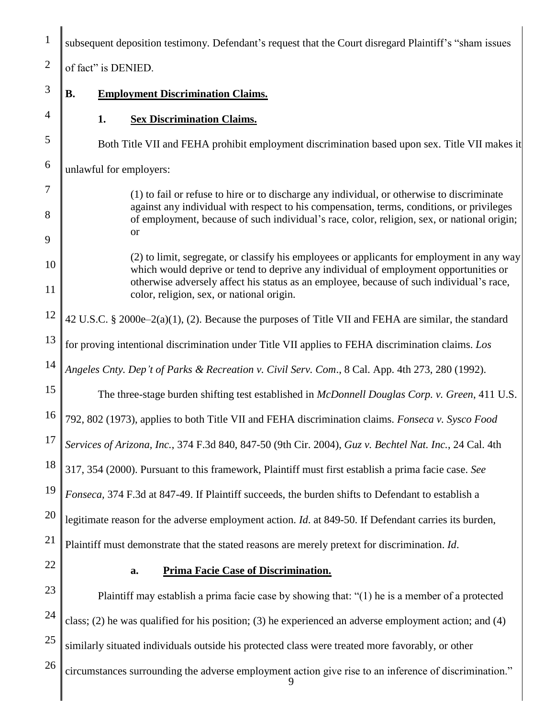| $\mathbf{1}$        | subsequent deposition testimony. Defendant's request that the Court disregard Plaintiff's "sham issues                                                                                  |  |  |
|---------------------|-----------------------------------------------------------------------------------------------------------------------------------------------------------------------------------------|--|--|
| $\overline{2}$      | of fact" is DENIED.                                                                                                                                                                     |  |  |
| 3                   | <b>B.</b><br><b>Employment Discrimination Claims.</b>                                                                                                                                   |  |  |
| $\overline{4}$      | 1.<br><b>Sex Discrimination Claims.</b>                                                                                                                                                 |  |  |
| 5                   | Both Title VII and FEHA prohibit employment discrimination based upon sex. Title VII makes it                                                                                           |  |  |
| 6                   | unlawful for employers:                                                                                                                                                                 |  |  |
| $\overline{7}$<br>8 | (1) to fail or refuse to hire or to discharge any individual, or otherwise to discriminate<br>against any individual with respect to his compensation, terms, conditions, or privileges |  |  |
| 9                   | of employment, because of such individual's race, color, religion, sex, or national origin;<br><b>or</b>                                                                                |  |  |
| 10                  | (2) to limit, segregate, or classify his employees or applicants for employment in any way<br>which would deprive or tend to deprive any individual of employment opportunities or      |  |  |
| 11                  | otherwise adversely affect his status as an employee, because of such individual's race,<br>color, religion, sex, or national origin.                                                   |  |  |
| 12                  | 42 U.S.C. § 2000e-2(a)(1), (2). Because the purposes of Title VII and FEHA are similar, the standard                                                                                    |  |  |
| 13                  | for proving intentional discrimination under Title VII applies to FEHA discrimination claims. Los                                                                                       |  |  |
| 14                  | Angeles Cnty. Dep't of Parks & Recreation v. Civil Serv. Com., 8 Cal. App. 4th 273, 280 (1992).                                                                                         |  |  |
| 15                  | The three-stage burden shifting test established in McDonnell Douglas Corp. v. Green, 411 U.S.                                                                                          |  |  |
| 16                  | 792, 802 (1973), applies to both Title VII and FEHA discrimination claims. Fonseca v. Sysco Food                                                                                        |  |  |
| 17                  | Services of Arizona, Inc., 374 F.3d 840, 847-50 (9th Cir. 2004), Guz v. Bechtel Nat. Inc., 24 Cal. 4th                                                                                  |  |  |
| 18                  | 317, 354 (2000). Pursuant to this framework, Plaintiff must first establish a prima facie case. See                                                                                     |  |  |
| 19                  | Fonseca, 374 F.3d at 847-49. If Plaintiff succeeds, the burden shifts to Defendant to establish a                                                                                       |  |  |
| 20                  | legitimate reason for the adverse employment action. Id. at 849-50. If Defendant carries its burden,                                                                                    |  |  |
| 21                  | Plaintiff must demonstrate that the stated reasons are merely pretext for discrimination. Id.                                                                                           |  |  |
| 22                  | <b>Prima Facie Case of Discrimination.</b><br>a.                                                                                                                                        |  |  |
| 23                  | Plaintiff may establish a prima facie case by showing that: "(1) he is a member of a protected                                                                                          |  |  |
| 24                  | class; (2) he was qualified for his position; (3) he experienced an adverse employment action; and (4)                                                                                  |  |  |
| 25                  | similarly situated individuals outside his protected class were treated more favorably, or other                                                                                        |  |  |
| 26                  | circumstances surrounding the adverse employment action give rise to an inference of discrimination."<br>9                                                                              |  |  |

║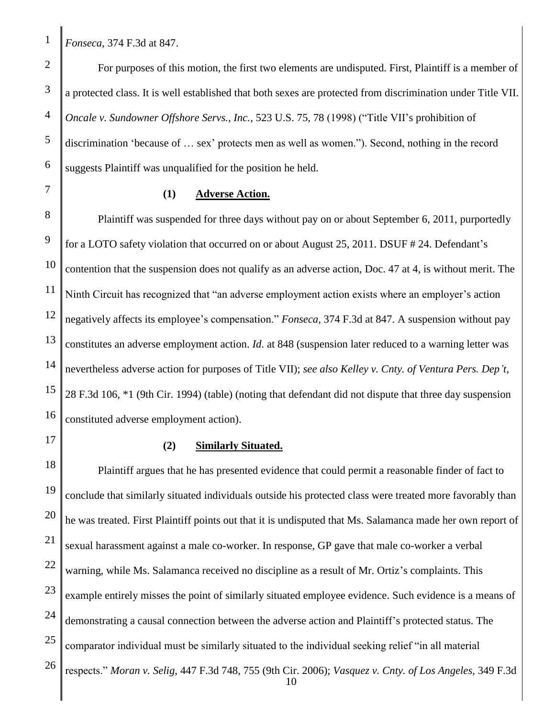*Fonseca*, 374 F.3d at 847.

For purposes of this motion, the first two elements are undisputed. First, Plaintiff is a member of a protected class. It is well established that both sexes are protected from discrimination under Title VII. *Oncale v. Sundowner Offshore Servs., Inc.*, 523 U.S. 75, 78 (1998) ("Title VII's prohibition of discrimination 'because of … sex' protects men as well as women."). Second, nothing in the record suggests Plaintiff was unqualified for the position he held.

#### **(1) Adverse Action.**

8 9 10 11 12 13 14 15 16 Plaintiff was suspended for three days without pay on or about September 6, 2011, purportedly for a LOTO safety violation that occurred on or about August 25, 2011. DSUF # 24. Defendant's contention that the suspension does not qualify as an adverse action, Doc. 47 at 4, is without merit. The Ninth Circuit has recognized that "an adverse employment action exists where an employer's action negatively affects its employee's compensation." *Fonseca*, 374 F.3d at 847. A suspension without pay constitutes an adverse employment action. *Id*. at 848 (suspension later reduced to a warning letter was nevertheless adverse action for purposes of Title VII); *see also Kelley v. Cnty. of Ventura Pers. Dep't*, 28 F.3d 106, \*1 (9th Cir. 1994) (table) (noting that defendant did not dispute that three day suspension constituted adverse employment action).

17 18

## **(2) Similarly Situated.**

19 20 21 22 23 24 25 26 10 Plaintiff argues that he has presented evidence that could permit a reasonable finder of fact to conclude that similarly situated individuals outside his protected class were treated more favorably than he was treated. First Plaintiff points out that it is undisputed that Ms. Salamanca made her own report of sexual harassment against a male co-worker. In response, GP gave that male co-worker a verbal warning, while Ms. Salamanca received no discipline as a result of Mr. Ortiz's complaints. This example entirely misses the point of similarly situated employee evidence. Such evidence is a means of demonstrating a causal connection between the adverse action and Plaintiff's protected status. The comparator individual must be similarly situated to the individual seeking relief "in all material respects." *Moran v. Selig*, 447 F.3d 748, 755 (9th Cir. 2006); *Vasquez v. Cnty. of Los Angeles*, 349 F.3d

4

5

6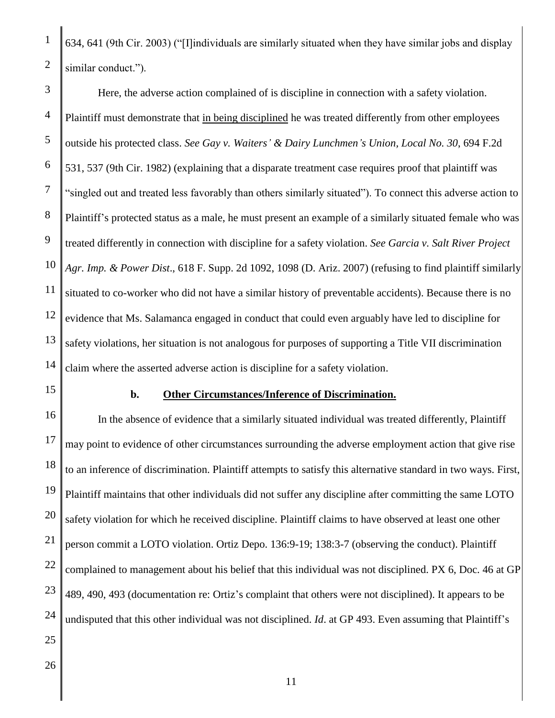634, 641 (9th Cir. 2003) ("[I]individuals are similarly situated when they have similar jobs and display similar conduct.").

3 4 5 6 7 8 9 10 11 12 13 14 Here, the adverse action complained of is discipline in connection with a safety violation. Plaintiff must demonstrate that in being disciplined he was treated differently from other employees outside his protected class. *See Gay v. Waiters' & Dairy Lunchmen's Union, Local No. 30*, 694 F.2d 531, 537 (9th Cir. 1982) (explaining that a disparate treatment case requires proof that plaintiff was "singled out and treated less favorably than others similarly situated"). To connect this adverse action to Plaintiff's protected status as a male, he must present an example of a similarly situated female who was treated differently in connection with discipline for a safety violation. *See Garcia v. Salt River Project Agr. Imp. & Power Dist*., 618 F. Supp. 2d 1092, 1098 (D. Ariz. 2007) (refusing to find plaintiff similarly situated to co-worker who did not have a similar history of preventable accidents). Because there is no evidence that Ms. Salamanca engaged in conduct that could even arguably have led to discipline for safety violations, her situation is not analogous for purposes of supporting a Title VII discrimination claim where the asserted adverse action is discipline for a safety violation.

15

1

2

## **b. Other Circumstances/Inference of Discrimination.**

16 17 18 19 20 21 22 23 24 In the absence of evidence that a similarly situated individual was treated differently, Plaintiff may point to evidence of other circumstances surrounding the adverse employment action that give rise to an inference of discrimination. Plaintiff attempts to satisfy this alternative standard in two ways. First, Plaintiff maintains that other individuals did not suffer any discipline after committing the same LOTO safety violation for which he received discipline. Plaintiff claims to have observed at least one other person commit a LOTO violation. Ortiz Depo. 136:9-19; 138:3-7 (observing the conduct). Plaintiff complained to management about his belief that this individual was not disciplined. PX 6, Doc. 46 at GP 489, 490, 493 (documentation re: Ortiz's complaint that others were not disciplined). It appears to be undisputed that this other individual was not disciplined. *Id*. at GP 493. Even assuming that Plaintiff's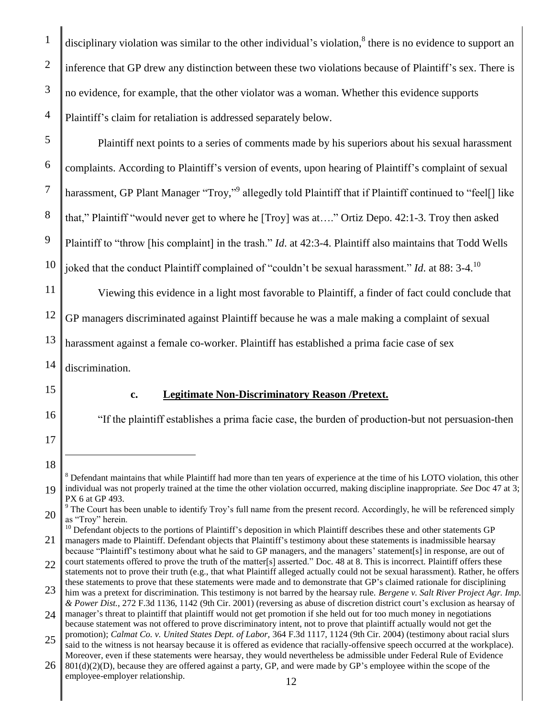disciplinary violation was similar to the other individual's violation, $^8$  there is no evidence to support an inference that GP drew any distinction between these two violations because of Plaintiff's sex. There is no evidence, for example, that the other violator was a woman. Whether this evidence supports Plaintiff's claim for retaliation is addressed separately below. Plaintiff next points to a series of comments made by his superiors about his sexual harassment complaints. According to Plaintiff's version of events, upon hearing of Plaintiff's complaint of sexual harassment, GP Plant Manager "Troy,"<sup>9</sup> allegedly told Plaintiff that if Plaintiff continued to "feel[] like that," Plaintiff "would never get to where he [Troy] was at…." Ortiz Depo. 42:1-3. Troy then asked Plaintiff to "throw [his complaint] in the trash." *Id*. at 42:3-4. Plaintiff also maintains that Todd Wells

10 joked that the conduct Plaintiff complained of "couldn't be sexual harassment." *Id*. at 88: 3-4. 10

11 12 13 Viewing this evidence in a light most favorable to Plaintiff, a finder of fact could conclude that GP managers discriminated against Plaintiff because he was a male making a complaint of sexual harassment against a female co-worker. Plaintiff has established a prima facie case of sex

14 discrimination.

15

16

17

1

2

3

4

5

6

7

8

9

# **c. Legitimate Non-Discriminatory Reason /Pretext.**

"If the plaintiff establishes a prima facie case, the burden of production-but not persuasion-then

 $\overline{a}$ 

21  $10$  Defendant objects to the portions of Plaintiff's deposition in which Plaintiff describes these and other statements GP managers made to Plaintiff. Defendant objects that Plaintiff's testimony about these statements is inadmissible hearsay

<sup>18</sup>

<sup>19</sup> <sup>8</sup> Defendant maintains that while Plaintiff had more than ten years of experience at the time of his LOTO violation, this other individual was not properly trained at the time the other violation occurred, making discipline inappropriate. *See* Doc 47 at 3; PX 6 at GP 493.

<sup>20</sup>  $9$  The Court has been unable to identify Troy's full name from the present record. Accordingly, he will be referenced simply as "Troy" herein.

because "Plaintiff's testimony about what he said to GP managers, and the managers' statement[s] in response, are out of court statements offered to prove the truth of the matter[s] asserted." Doc. 48 at 8. This is incorrect. Plaintiff offers these

<sup>22</sup> statements not to prove their truth (e.g., that what Plaintiff alleged actually could not be sexual harassment). Rather, he offers these statements to prove that these statements were made and to demonstrate that GP's claimed rationale for disciplining

<sup>23</sup> him was a pretext for discrimination. This testimony is not barred by the hearsay rule. *Bergene v. Salt River Project Agr. Imp. & Power Dist.*, 272 F.3d 1136, 1142 (9th Cir. 2001) (reversing as abuse of discretion district court's exclusion as hearsay of

<sup>24</sup> manager's threat to plaintiff that plaintiff would not get promotion if she held out for too much money in negotiations because statement was not offered to prove discriminatory intent, not to prove that plaintiff actually would not get the promotion); *Calmat Co. v. United States Dept. of Labor,* 364 F.3d 1117, 1124 (9th Cir. 2004) (testimony about racial slurs

<sup>25</sup> said to the witness is not hearsay because it is offered as evidence that racially-offensive speech occurred at the workplace). Moreover, even if these statements were hearsay, they would nevertheless be admissible under Federal Rule of Evidence

<sup>26</sup> 801(d)(2)(D), because they are offered against a party, GP, and were made by GP's employee within the scope of the employee-employer relationship.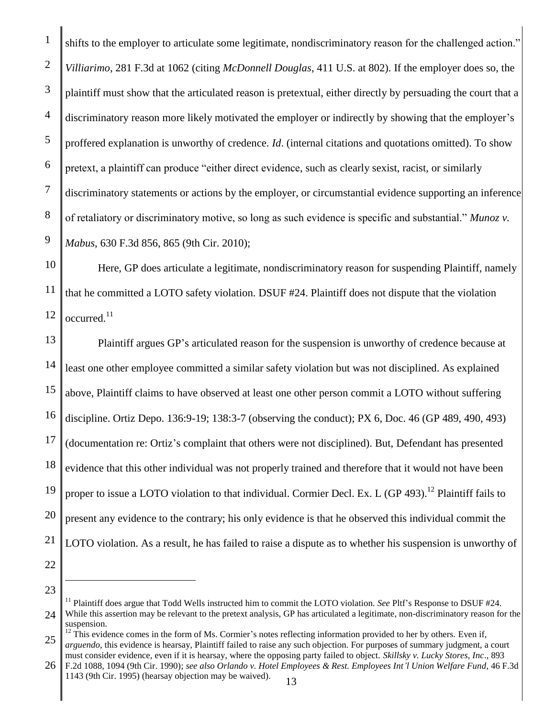shifts to the employer to articulate some legitimate, nondiscriminatory reason for the challenged action." *Villiarimo*, 281 F.3d at 1062 (citing *McDonnell Douglas*, 411 U.S. at 802). If the employer does so, the plaintiff must show that the articulated reason is pretextual, either directly by persuading the court that a discriminatory reason more likely motivated the employer or indirectly by showing that the employer's proffered explanation is unworthy of credence. *Id*. (internal citations and quotations omitted). To show pretext, a plaintiff can produce "either direct evidence, such as clearly sexist, racist, or similarly discriminatory statements or actions by the employer, or circumstantial evidence supporting an inference of retaliatory or discriminatory motive, so long as such evidence is specific and substantial." *Munoz v. Mabus*, 630 F.3d 856, 865 (9th Cir. 2010);

10 11 12 Here, GP does articulate a legitimate, nondiscriminatory reason for suspending Plaintiff, namely that he committed a LOTO safety violation. DSUF #24. Plaintiff does not dispute that the violation occurred.<sup>11</sup>

13 14 15 16 17 18 19 20 21 Plaintiff argues GP's articulated reason for the suspension is unworthy of credence because at least one other employee committed a similar safety violation but was not disciplined. As explained above, Plaintiff claims to have observed at least one other person commit a LOTO without suffering discipline. Ortiz Depo. 136:9-19; 138:3-7 (observing the conduct); PX 6, Doc. 46 (GP 489, 490, 493) (documentation re: Ortiz's complaint that others were not disciplined). But, Defendant has presented evidence that this other individual was not properly trained and therefore that it would not have been proper to issue a LOTO violation to that individual. Cormier Decl. Ex. L (GP 493).<sup>12</sup> Plaintiff fails to present any evidence to the contrary; his only evidence is that he observed this individual commit the LOTO violation. As a result, he has failed to raise a dispute as to whether his suspension is unworthy of

22 23

 $\overline{a}$ 

1

2

3

4

5

6

7

8

<sup>24</sup> <sup>11</sup> Plaintiff does argue that Todd Wells instructed him to commit the LOTO violation. *See* Pltf's Response to DSUF #24. While this assertion may be relevant to the pretext analysis, GP has articulated a legitimate, non-discriminatory reason for the suspension.

<sup>25</sup>  $12$  This evidence comes in the form of Ms. Cormier's notes reflecting information provided to her by others. Even if, *arguendo*, this evidence is hearsay, Plaintiff failed to raise any such objection. For purposes of summary judgment, a court

<sup>26</sup> must consider evidence, even if it is hearsay, where the opposing party failed to object. *Skillsky v. Lucky Stores, Inc*., 893 F.2d 1088, 1094 (9th Cir. 1990); *see also Orlando v. Hotel Employees & Rest. Employees Int'l Union Welfare Fund*, 46 F.3d 1143 (9th Cir. 1995) (hearsay objection may be waived).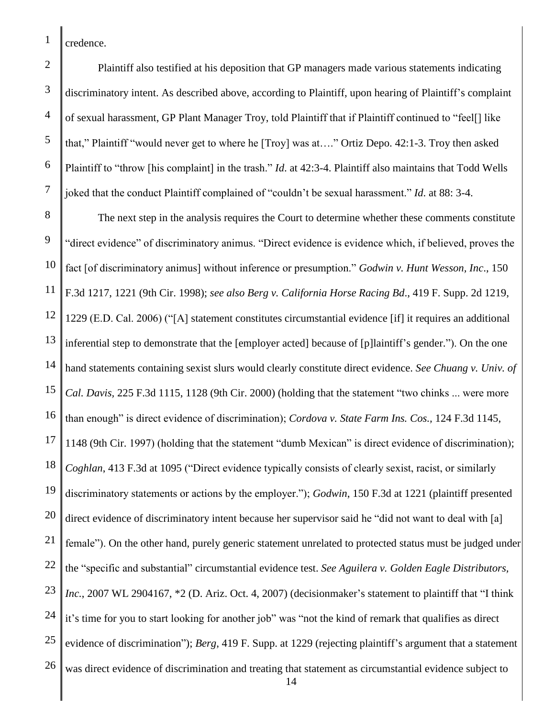credence.

Plaintiff also testified at his deposition that GP managers made various statements indicating discriminatory intent. As described above, according to Plaintiff, upon hearing of Plaintiff's complaint of sexual harassment, GP Plant Manager Troy, told Plaintiff that if Plaintiff continued to "feel[] like that," Plaintiff "would never get to where he [Troy] was at…." Ortiz Depo. 42:1-3. Troy then asked Plaintiff to "throw [his complaint] in the trash." *Id*. at 42:3-4. Plaintiff also maintains that Todd Wells joked that the conduct Plaintiff complained of "couldn't be sexual harassment." *Id*. at 88: 3-4.

8 9 10 11 12 13 14 15 16 17 18 19 20 21 22 23 24 25 26 The next step in the analysis requires the Court to determine whether these comments constitute "direct evidence" of discriminatory animus. "Direct evidence is evidence which, if believed, proves the fact [of discriminatory animus] without inference or presumption." *Godwin v. Hunt Wesson, Inc*., 150 F.3d 1217, 1221 (9th Cir. 1998); *see also Berg v. California Horse Racing Bd*., 419 F. Supp. 2d 1219, 1229 (E.D. Cal. 2006) ("[A] statement constitutes circumstantial evidence [if] it requires an additional inferential step to demonstrate that the [employer acted] because of [p]laintiff's gender."). On the one hand statements containing sexist slurs would clearly constitute direct evidence. *See Chuang v. Univ. of Cal. Davis,* 225 F.3d 1115, 1128 (9th Cir. 2000) (holding that the statement "two chinks ... were more than enough" is direct evidence of discrimination); *Cordova v. State Farm Ins. Cos.,* 124 F.3d 1145, 1148 (9th Cir. 1997) (holding that the statement "dumb Mexican" is direct evidence of discrimination); *Coghlan*, 413 F.3d at 1095 ("Direct evidence typically consists of clearly sexist, racist, or similarly discriminatory statements or actions by the employer."); *Godwin*, 150 F.3d at 1221 (plaintiff presented direct evidence of discriminatory intent because her supervisor said he "did not want to deal with [a] female"). On the other hand, purely generic statement unrelated to protected status must be judged under the "specific and substantial" circumstantial evidence test. *See Aguilera v. Golden Eagle Distributors, Inc.*, 2007 WL 2904167, \*2 (D. Ariz. Oct. 4, 2007) (decisionmaker's statement to plaintiff that "I think it's time for you to start looking for another job" was "not the kind of remark that qualifies as direct evidence of discrimination"); *Berg*, 419 F. Supp. at 1229 (rejecting plaintiff's argument that a statement was direct evidence of discrimination and treating that statement as circumstantial evidence subject to

14

3

4

5

6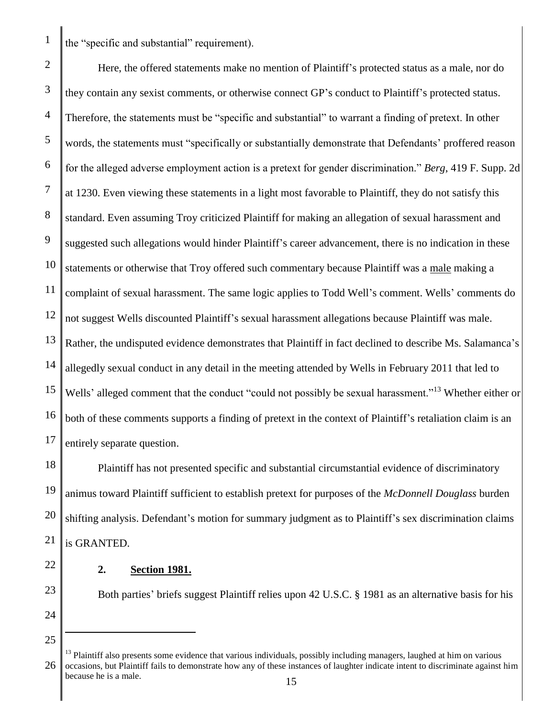the "specific and substantial" requirement).

1

2 3 4 5 6 7 8 9 10 11 12 13 14 15 16 17 Here, the offered statements make no mention of Plaintiff's protected status as a male, nor do they contain any sexist comments, or otherwise connect GP's conduct to Plaintiff's protected status. Therefore, the statements must be "specific and substantial" to warrant a finding of pretext. In other words, the statements must "specifically or substantially demonstrate that Defendants' proffered reason for the alleged adverse employment action is a pretext for gender discrimination." *Berg*, 419 F. Supp. 2d at 1230. Even viewing these statements in a light most favorable to Plaintiff, they do not satisfy this standard. Even assuming Troy criticized Plaintiff for making an allegation of sexual harassment and suggested such allegations would hinder Plaintiff's career advancement, there is no indication in these statements or otherwise that Troy offered such commentary because Plaintiff was a male making a complaint of sexual harassment. The same logic applies to Todd Well's comment. Wells' comments do not suggest Wells discounted Plaintiff's sexual harassment allegations because Plaintiff was male. Rather, the undisputed evidence demonstrates that Plaintiff in fact declined to describe Ms. Salamanca's allegedly sexual conduct in any detail in the meeting attended by Wells in February 2011 that led to Wells' alleged comment that the conduct "could not possibly be sexual harassment."<sup>13</sup> Whether either or both of these comments supports a finding of pretext in the context of Plaintiff's retaliation claim is an entirely separate question.

18 19 20 21 Plaintiff has not presented specific and substantial circumstantial evidence of discriminatory animus toward Plaintiff sufficient to establish pretext for purposes of the *McDonnell Douglass* burden shifting analysis. Defendant's motion for summary judgment as to Plaintiff's sex discrimination claims is GRANTED.

22

## **2. Section 1981.**

23 24

25

 $\overline{a}$ 

Both parties' briefs suggest Plaintiff relies upon 42 U.S.C. § 1981 as an alternative basis for his

<sup>26</sup>  $<sup>13</sup>$  Plaintiff also presents some evidence that various individuals, possibly including managers, laughed at him on various</sup> occasions, but Plaintiff fails to demonstrate how any of these instances of laughter indicate intent to discriminate against him because he is a male.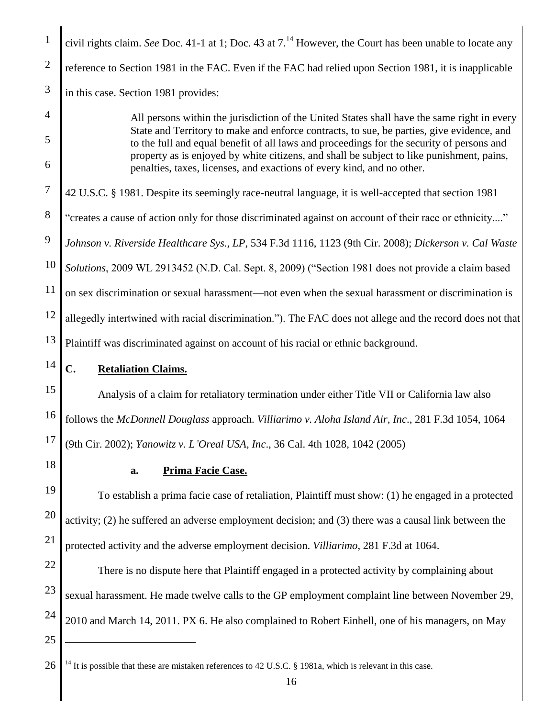| $\mathbf{1}$        | civil rights claim. See Doc. 41-1 at 1; Doc. 43 at $7.^{14}$ However, the Court has been unable to locate any                                                                                                                                                                                                                                                                      |
|---------------------|------------------------------------------------------------------------------------------------------------------------------------------------------------------------------------------------------------------------------------------------------------------------------------------------------------------------------------------------------------------------------------|
| $\overline{2}$      | reference to Section 1981 in the FAC. Even if the FAC had relied upon Section 1981, it is inapplicable                                                                                                                                                                                                                                                                             |
| $\mathfrak{Z}$      | in this case. Section 1981 provides:                                                                                                                                                                                                                                                                                                                                               |
| $\overline{4}$<br>5 | All persons within the jurisdiction of the United States shall have the same right in every<br>State and Territory to make and enforce contracts, to sue, be parties, give evidence, and<br>to the full and equal benefit of all laws and proceedings for the security of persons and<br>property as is enjoyed by white citizens, and shall be subject to like punishment, pains, |
| 6                   | penalties, taxes, licenses, and exactions of every kind, and no other.                                                                                                                                                                                                                                                                                                             |
| $\sqrt{ }$          | 42 U.S.C. § 1981. Despite its seemingly race-neutral language, it is well-accepted that section 1981                                                                                                                                                                                                                                                                               |
| $8\,$               | "creates a cause of action only for those discriminated against on account of their race or ethnicity"                                                                                                                                                                                                                                                                             |
| 9                   | Johnson v. Riverside Healthcare Sys., LP, 534 F.3d 1116, 1123 (9th Cir. 2008); Dickerson v. Cal Waste                                                                                                                                                                                                                                                                              |
| 10                  | Solutions, 2009 WL 2913452 (N.D. Cal. Sept. 8, 2009) ("Section 1981 does not provide a claim based                                                                                                                                                                                                                                                                                 |
| 11                  | on sex discrimination or sexual harassment—not even when the sexual harassment or discrimination is                                                                                                                                                                                                                                                                                |
| 12                  | allegedly intertwined with racial discrimination."). The FAC does not allege and the record does not that                                                                                                                                                                                                                                                                          |
| 13                  | Plaintiff was discriminated against on account of his racial or ethnic background.                                                                                                                                                                                                                                                                                                 |
| 14                  | C.<br><b>Retaliation Claims.</b>                                                                                                                                                                                                                                                                                                                                                   |
| 15                  | Analysis of a claim for retaliatory termination under either Title VII or California law also                                                                                                                                                                                                                                                                                      |
| 16                  | follows the McDonnell Douglass approach. Villiarimo v. Aloha Island Air, Inc., 281 F.3d 1054, 1064                                                                                                                                                                                                                                                                                 |
| 17                  | (9th Cir. 2002); Yanowitz v. L'Oreal USA, Inc., 36 Cal. 4th 1028, 1042 (2005)                                                                                                                                                                                                                                                                                                      |
| 18                  | Prima Facie Case.<br>a.                                                                                                                                                                                                                                                                                                                                                            |
| 19                  | To establish a prima facie case of retaliation, Plaintiff must show: (1) he engaged in a protected                                                                                                                                                                                                                                                                                 |
| 20                  | activity; (2) he suffered an adverse employment decision; and (3) there was a causal link between the                                                                                                                                                                                                                                                                              |
| 21                  | protected activity and the adverse employment decision. Villiarimo, 281 F.3d at 1064.                                                                                                                                                                                                                                                                                              |
| 22                  | There is no dispute here that Plaintiff engaged in a protected activity by complaining about                                                                                                                                                                                                                                                                                       |
| 23                  | sexual harassment. He made twelve calls to the GP employment complaint line between November 29,                                                                                                                                                                                                                                                                                   |
| 24                  | 2010 and March 14, 2011. PX 6. He also complained to Robert Einhell, one of his managers, on May                                                                                                                                                                                                                                                                                   |
| 25                  |                                                                                                                                                                                                                                                                                                                                                                                    |
|                     |                                                                                                                                                                                                                                                                                                                                                                                    |

<sup>26</sup>  $\parallel$  <sup>14</sup> It is possible that these are mistaken references to 42 U.S.C. § 1981a, which is relevant in this case.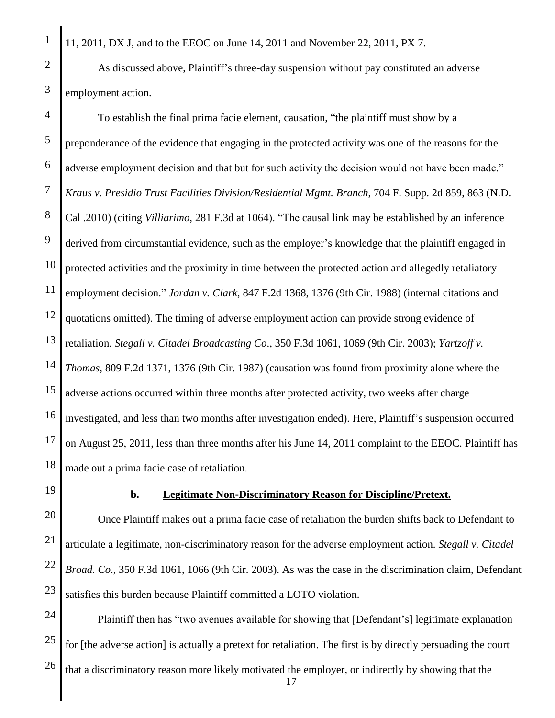11, 2011, DX J, and to the EEOC on June 14, 2011 and November 22, 2011, PX 7.

As discussed above, Plaintiff's three-day suspension without pay constituted an adverse employment action.

10 11 12 13 14 15 16 17 18 To establish the final prima facie element, causation, "the plaintiff must show by a preponderance of the evidence that engaging in the protected activity was one of the reasons for the adverse employment decision and that but for such activity the decision would not have been made." *Kraus v. Presidio Trust Facilities Division/Residential Mgmt. Branch*, 704 F. Supp. 2d 859, 863 (N.D. Cal .2010) (citing *Villiarimo,* 281 F.3d at 1064). "The causal link may be established by an inference derived from circumstantial evidence, such as the employer's knowledge that the plaintiff engaged in protected activities and the proximity in time between the protected action and allegedly retaliatory employment decision." *Jordan v. Clark*, 847 F.2d 1368, 1376 (9th Cir. 1988) (internal citations and quotations omitted). The timing of adverse employment action can provide strong evidence of retaliation. *Stegall v. Citadel Broadcasting Co*., 350 F.3d 1061, 1069 (9th Cir. 2003); *Yartzoff v. Thomas*, 809 F.2d 1371, 1376 (9th Cir. 1987) (causation was found from proximity alone where the adverse actions occurred within three months after protected activity, two weeks after charge investigated, and less than two months after investigation ended). Here, Plaintiff's suspension occurred on August 25, 2011, less than three months after his June 14, 2011 complaint to the EEOC. Plaintiff has made out a prima facie case of retaliation.

19

# **b. Legitimate Non-Discriminatory Reason for Discipline/Pretext.**

20 21 22 23 Once Plaintiff makes out a prima facie case of retaliation the burden shifts back to Defendant to articulate a legitimate, non-discriminatory reason for the adverse employment action. *Stegall v. Citadel Broad. Co*., 350 F.3d 1061, 1066 (9th Cir. 2003). As was the case in the discrimination claim, Defendant satisfies this burden because Plaintiff committed a LOTO violation.

24 25 17 Plaintiff then has "two avenues available for showing that [Defendant's] legitimate explanation for [the adverse action] is actually a pretext for retaliation. The first is by directly persuading the court that a discriminatory reason more likely motivated the employer, or indirectly by showing that the

1

2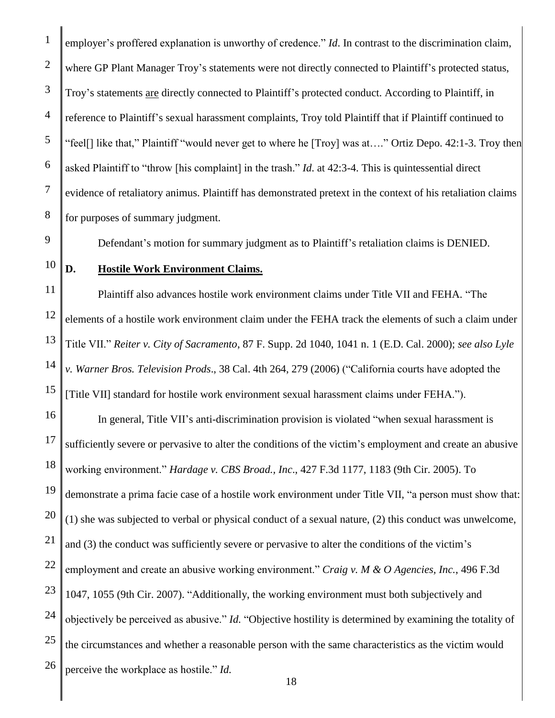2 3 4 5 6 7 8 employer's proffered explanation is unworthy of credence." *Id*. In contrast to the discrimination claim, where GP Plant Manager Troy's statements were not directly connected to Plaintiff's protected status, Troy's statements are directly connected to Plaintiff's protected conduct. According to Plaintiff, in reference to Plaintiff's sexual harassment complaints, Troy told Plaintiff that if Plaintiff continued to "feel[] like that," Plaintiff "would never get to where he [Troy] was at…." Ortiz Depo. 42:1-3. Troy then asked Plaintiff to "throw [his complaint] in the trash." *Id*. at 42:3-4. This is quintessential direct evidence of retaliatory animus. Plaintiff has demonstrated pretext in the context of his retaliation claims for purposes of summary judgment.

Defendant's motion for summary judgment as to Plaintiff's retaliation claims is DENIED.

10

9

1

# **D. Hostile Work Environment Claims.**

11 12 13 14 15 Plaintiff also advances hostile work environment claims under Title VII and FEHA. "The elements of a hostile work environment claim under the FEHA track the elements of such a claim under Title VII." *Reiter v. City of Sacramento*, 87 F. Supp. 2d 1040, 1041 n. 1 (E.D. Cal. 2000); *see also Lyle v. Warner Bros. Television Prods*., 38 Cal. 4th 264, 279 (2006) ("California courts have adopted the [Title VII] standard for hostile work environment sexual harassment claims under FEHA.").

16 17 18 19 20 21 22 23 24 25 26 In general, Title VII's anti-discrimination provision is violated "when sexual harassment is sufficiently severe or pervasive to alter the conditions of the victim's employment and create an abusive working environment." *Hardage v. CBS Broad., Inc*., 427 F.3d 1177, 1183 (9th Cir. 2005). To demonstrate a prima facie case of a hostile work environment under Title VII, "a person must show that: (1) she was subjected to verbal or physical conduct of a sexual nature, (2) this conduct was unwelcome, and (3) the conduct was sufficiently severe or pervasive to alter the conditions of the victim's employment and create an abusive working environment." *Craig v. M & O Agencies, Inc.*, 496 F.3d 1047, 1055 (9th Cir. 2007). "Additionally, the working environment must both subjectively and objectively be perceived as abusive." *Id.* "Objective hostility is determined by examining the totality of the circumstances and whether a reasonable person with the same characteristics as the victim would perceive the workplace as hostile." *Id.*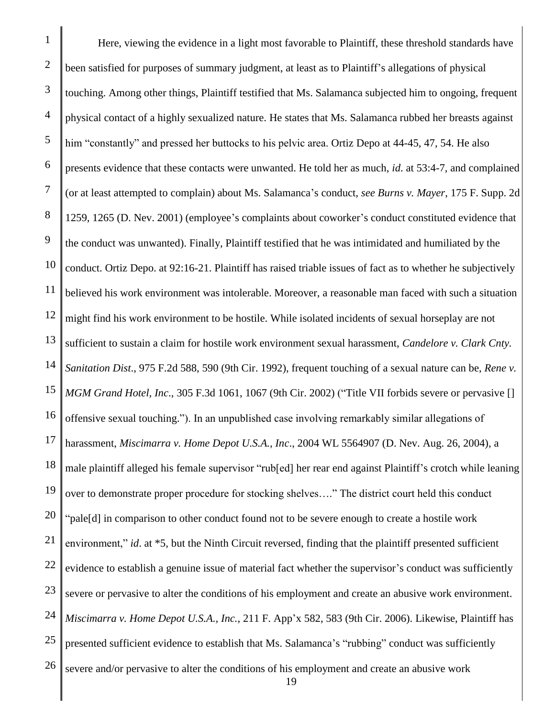1 2 3 4 5 6 7 8 9 10 11 12 13 14 15 16 17 18 19 20 21 22 23 24 25 26 Here, viewing the evidence in a light most favorable to Plaintiff, these threshold standards have been satisfied for purposes of summary judgment, at least as to Plaintiff's allegations of physical touching. Among other things, Plaintiff testified that Ms. Salamanca subjected him to ongoing, frequent physical contact of a highly sexualized nature. He states that Ms. Salamanca rubbed her breasts against him "constantly" and pressed her buttocks to his pelvic area. Ortiz Depo at 44-45, 47, 54. He also presents evidence that these contacts were unwanted. He told her as much, *id*. at 53:4-7, and complained (or at least attempted to complain) about Ms. Salamanca's conduct, *see Burns v. Mayer*, 175 F. Supp. 2d 1259, 1265 (D. Nev. 2001) (employee's complaints about coworker's conduct constituted evidence that the conduct was unwanted). Finally, Plaintiff testified that he was intimidated and humiliated by the conduct. Ortiz Depo. at 92:16-21. Plaintiff has raised triable issues of fact as to whether he subjectively believed his work environment was intolerable. Moreover, a reasonable man faced with such a situation might find his work environment to be hostile. While isolated incidents of sexual horseplay are not sufficient to sustain a claim for hostile work environment sexual harassment, *Candelore v. Clark Cnty. Sanitation Dist*., 975 F.2d 588, 590 (9th Cir. 1992), frequent touching of a sexual nature can be, *Rene v. MGM Grand Hotel, Inc*., 305 F.3d 1061, 1067 (9th Cir. 2002) ("Title VII forbids severe or pervasive [] offensive sexual touching."). In an unpublished case involving remarkably similar allegations of harassment, *Miscimarra v. Home Depot U.S.A., Inc*., 2004 WL 5564907 (D. Nev. Aug. 26, 2004), a male plaintiff alleged his female supervisor "rub[ed] her rear end against Plaintiff's crotch while leaning over to demonstrate proper procedure for stocking shelves…." The district court held this conduct "pale[d] in comparison to other conduct found not to be severe enough to create a hostile work environment," *id.* at \*5, but the Ninth Circuit reversed, finding that the plaintiff presented sufficient evidence to establish a genuine issue of material fact whether the supervisor's conduct was sufficiently severe or pervasive to alter the conditions of his employment and create an abusive work environment. *Miscimarra v. Home Depot U.S.A., Inc.*, 211 F. App'x 582, 583 (9th Cir. 2006). Likewise, Plaintiff has presented sufficient evidence to establish that Ms. Salamanca's "rubbing" conduct was sufficiently severe and/or pervasive to alter the conditions of his employment and create an abusive work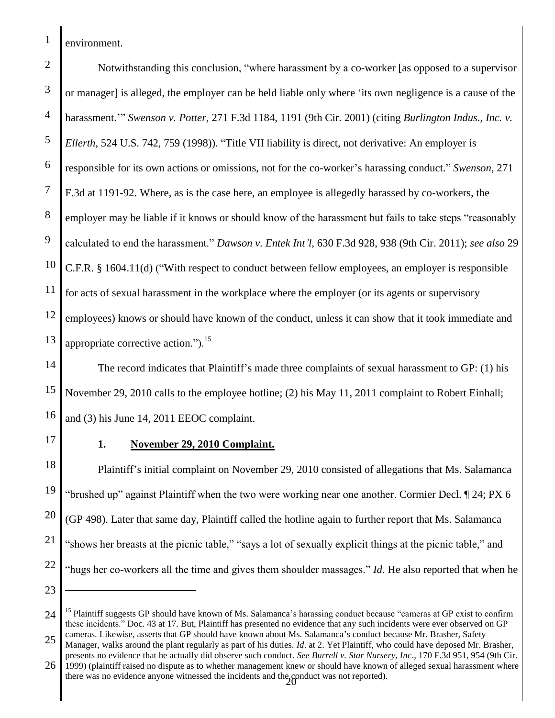environment.

1

2 3 4 5 6 7 8 9 10 11 12 13 Notwithstanding this conclusion, "where harassment by a co-worker [as opposed to a supervisor or manager] is alleged, the employer can be held liable only where 'its own negligence is a cause of the harassment.'" *Swenson v. Potter*, 271 F.3d 1184, 1191 (9th Cir. 2001) (citing *Burlington Indus., Inc. v. Ellerth*, 524 U.S. 742, 759 (1998)). "Title VII liability is direct, not derivative: An employer is responsible for its own actions or omissions, not for the co-worker's harassing conduct." *Swenson*, 271 F.3d at 1191-92. Where, as is the case here, an employee is allegedly harassed by co-workers, the employer may be liable if it knows or should know of the harassment but fails to take steps "reasonably calculated to end the harassment." *Dawson v. Entek Int'l*, 630 F.3d 928, 938 (9th Cir. 2011); *see also* 29 C.F.R. § 1604.11(d) ("With respect to conduct between fellow employees, an employer is responsible for acts of sexual harassment in the workplace where the employer (or its agents or supervisory employees) knows or should have known of the conduct, unless it can show that it took immediate and appropriate corrective action." $)^{15}$ 

14 15 16 The record indicates that Plaintiff's made three complaints of sexual harassment to GP: (1) his November 29, 2010 calls to the employee hotline; (2) his May 11, 2011 complaint to Robert Einhall; and (3) his June 14, 2011 EEOC complaint.

17

23

 $\overline{a}$ 

# **1. November 29, 2010 Complaint.**

18 19 20 21 22 Plaintiff's initial complaint on November 29, 2010 consisted of allegations that Ms. Salamanca "brushed up" against Plaintiff when the two were working near one another. Cormier Decl. ¶ 24; PX 6 (GP 498). Later that same day, Plaintiff called the hotline again to further report that Ms. Salamanca "shows her breasts at the picnic table," "says a lot of sexually explicit things at the picnic table," and "hugs her co-workers all the time and gives them shoulder massages." *Id*. He also reported that when he

<sup>24</sup> 25 <sup>15</sup> Plaintiff suggests GP should have known of Ms. Salamanca's harassing conduct because "cameras at GP exist to confirm these incidents." Doc. 43 at 17. But, Plaintiff has presented no evidence that any such incidents were ever observed on GP cameras. Likewise, asserts that GP should have known about Ms. Salamanca's conduct because Mr. Brasher, Safety

<sup>26</sup> there was no evidence anyone witnessed the incidents and the conduct was not reported). Manager, walks around the plant regularly as part of his duties. *Id*. at 2. Yet Plaintiff, who could have deposed Mr. Brasher, presents no evidence that he actually did observe such conduct. *See Burrell v. Star Nursery, Inc*., 170 F.3d 951, 954 (9th Cir. 1999) (plaintiff raised no dispute as to whether management knew or should have known of alleged sexual harassment where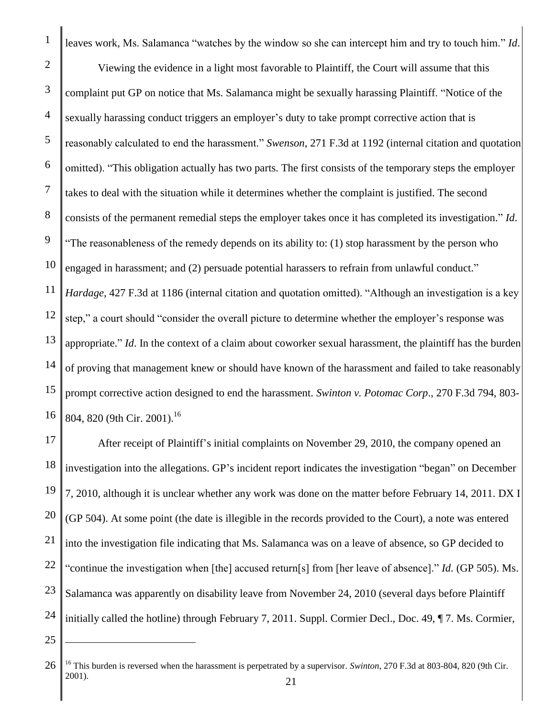1 2 3 4 5 6 7 8 9 10 11 12 13 14 15 16 leaves work, Ms. Salamanca "watches by the window so she can intercept him and try to touch him." *Id*. Viewing the evidence in a light most favorable to Plaintiff, the Court will assume that this complaint put GP on notice that Ms. Salamanca might be sexually harassing Plaintiff. "Notice of the sexually harassing conduct triggers an employer's duty to take prompt corrective action that is reasonably calculated to end the harassment." *Swenson*, 271 F.3d at 1192 (internal citation and quotation omitted). "This obligation actually has two parts. The first consists of the temporary steps the employer takes to deal with the situation while it determines whether the complaint is justified. The second consists of the permanent remedial steps the employer takes once it has completed its investigation." *Id*. "The reasonableness of the remedy depends on its ability to: (1) stop harassment by the person who engaged in harassment; and (2) persuade potential harassers to refrain from unlawful conduct." *Hardage,* 427 F.3d at 1186 (internal citation and quotation omitted). "Although an investigation is a key step," a court should "consider the overall picture to determine whether the employer's response was appropriate." *Id*. In the context of a claim about coworker sexual harassment, the plaintiff has the burden of proving that management knew or should have known of the harassment and failed to take reasonably prompt corrective action designed to end the harassment. *Swinton v. Potomac Corp*., 270 F.3d 794, 803- 804, 820 (9th Cir. 2001).<sup>16</sup>

17 18 19 20 21 22 23 24 After receipt of Plaintiff's initial complaints on November 29, 2010, the company opened an investigation into the allegations. GP's incident report indicates the investigation "began" on December 7, 2010, although it is unclear whether any work was done on the matter before February 14, 2011. DX I (GP 504). At some point (the date is illegible in the records provided to the Court), a note was entered into the investigation file indicating that Ms. Salamanca was on a leave of absence, so GP decided to "continue the investigation when [the] accused return[s] from [her leave of absence]." *Id*. (GP 505). Ms. Salamanca was apparently on disability leave from November 24, 2010 (several days before Plaintiff initially called the hotline) through February 7, 2011. Suppl. Cormier Decl., Doc. 49, ¶ 7. Ms. Cormier,

25

 $\overline{a}$ 

<sup>26</sup> <sup>16</sup> This burden is reversed when the harassment is perpetrated by a supervisor. *Swinton*, 270 F.3d at 803-804, 820 (9th Cir. 2001).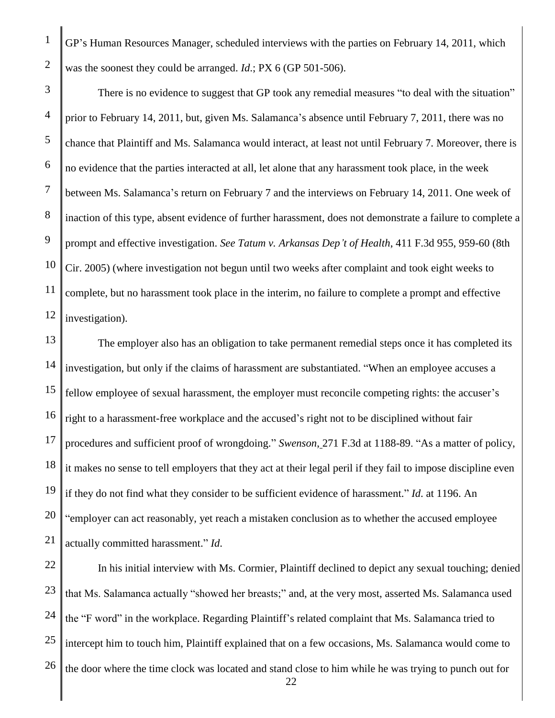GP's Human Resources Manager, scheduled interviews with the parties on February 14, 2011, which was the soonest they could be arranged. *Id*.; PX 6 (GP 501-506).

10 12 There is no evidence to suggest that GP took any remedial measures "to deal with the situation" prior to February 14, 2011, but, given Ms. Salamanca's absence until February 7, 2011, there was no chance that Plaintiff and Ms. Salamanca would interact, at least not until February 7. Moreover, there is no evidence that the parties interacted at all, let alone that any harassment took place, in the week between Ms. Salamanca's return on February 7 and the interviews on February 14, 2011. One week of inaction of this type, absent evidence of further harassment, does not demonstrate a failure to complete a prompt and effective investigation. *See Tatum v. Arkansas Dep't of Health*, 411 F.3d 955, 959-60 (8th Cir. 2005) (where investigation not begun until two weeks after complaint and took eight weeks to complete, but no harassment took place in the interim, no failure to complete a prompt and effective investigation).

13 14 15 16 17 18 19 20 21 The employer also has an obligation to take permanent remedial steps once it has completed its investigation, but only if the claims of harassment are substantiated. "When an employee accuses a fellow employee of sexual harassment, the employer must reconcile competing rights: the accuser's right to a harassment-free workplace and the accused's right not to be disciplined without fair procedures and sufficient proof of wrongdoing." *Swenson*, 271 F.3d at 1188-89. "As a matter of policy, it makes no sense to tell employers that they act at their legal peril if they fail to impose discipline even if they do not find what they consider to be sufficient evidence of harassment." *Id*. at 1196. An "employer can act reasonably, yet reach a mistaken conclusion as to whether the accused employee actually committed harassment." *Id*.

22 23 24 25 26 22 In his initial interview with Ms. Cormier, Plaintiff declined to depict any sexual touching; denied that Ms. Salamanca actually "showed her breasts;" and, at the very most, asserted Ms. Salamanca used the "F word" in the workplace. Regarding Plaintiff's related complaint that Ms. Salamanca tried to intercept him to touch him, Plaintiff explained that on a few occasions, Ms. Salamanca would come to the door where the time clock was located and stand close to him while he was trying to punch out for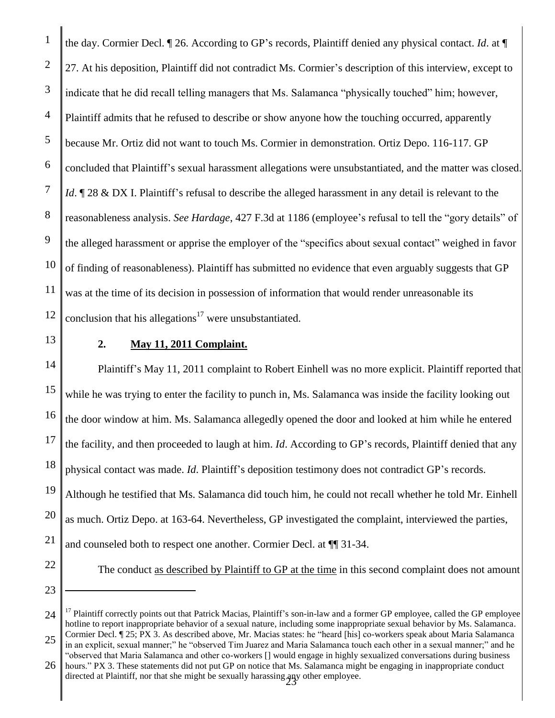1 2 3 4 5 6 7 8 9 10 11 12 the day. Cormier Decl. ¶ 26. According to GP's records, Plaintiff denied any physical contact. *Id*. at ¶ 27. At his deposition, Plaintiff did not contradict Ms. Cormier's description of this interview, except to indicate that he did recall telling managers that Ms. Salamanca "physically touched" him; however, Plaintiff admits that he refused to describe or show anyone how the touching occurred, apparently because Mr. Ortiz did not want to touch Ms. Cormier in demonstration. Ortiz Depo. 116-117. GP concluded that Plaintiff's sexual harassment allegations were unsubstantiated, and the matter was closed. *Id*.  $\mathbb{I}$  28 & DX I. Plaintiff's refusal to describe the alleged harassment in any detail is relevant to the reasonableness analysis. *See Hardage*, 427 F.3d at 1186 (employee's refusal to tell the "gory details" of the alleged harassment or apprise the employer of the "specifics about sexual contact" weighed in favor of finding of reasonableness). Plaintiff has submitted no evidence that even arguably suggests that GP was at the time of its decision in possession of information that would render unreasonable its conclusion that his allegations<sup>17</sup> were unsubstantiated.

13 14

# **2. May 11, 2011 Complaint.**

15 16 17 18 19 20 21 Plaintiff's May 11, 2011 complaint to Robert Einhell was no more explicit. Plaintiff reported that while he was trying to enter the facility to punch in, Ms. Salamanca was inside the facility looking out the door window at him. Ms. Salamanca allegedly opened the door and looked at him while he entered the facility, and then proceeded to laugh at him. *Id*. According to GP's records, Plaintiff denied that any physical contact was made. *Id*. Plaintiff's deposition testimony does not contradict GP's records. Although he testified that Ms. Salamanca did touch him, he could not recall whether he told Mr. Einhell as much. Ortiz Depo. at 163-64. Nevertheless, GP investigated the complaint, interviewed the parties, and counseled both to respect one another. Cormier Decl. at ¶¶ 31-34.

23

 $\overline{a}$ 

22

The conduct as described by Plaintiff to GP at the time in this second complaint does not amount

24 25 <sup>17</sup> Plaintiff correctly points out that Patrick Macias, Plaintiff's son-in-law and a former GP employee, called the GP employee hotline to report inappropriate behavior of a sexual nature, including some inappropriate sexual behavior by Ms. Salamanca. Cormier Decl. ¶ 25; PX 3. As described above, Mr. Macias states: he "heard [his] co-workers speak about Maria Salamanca

in an explicit, sexual manner;" he "observed Tim Juarez and Maria Salamanca touch each other in a sexual manner;" and he "observed that Maria Salamanca and other co-workers [] would engage in highly sexualized conversations during business

<sup>26</sup> directed at Plaintiff, nor that she might be sexually harassing any other employee. hours." PX 3. These statements did not put GP on notice that Ms. Salamanca might be engaging in inappropriate conduct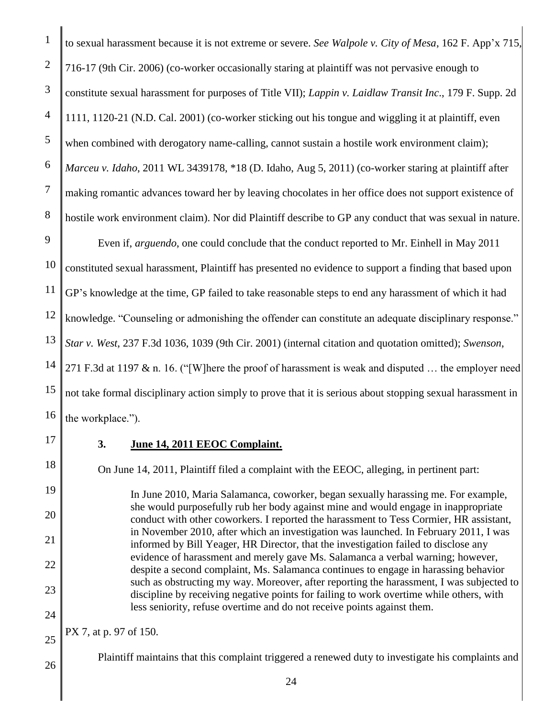to sexual harassment because it is not extreme or severe. *See Walpole v. City of Mesa*, 162 F. App'x 715, 716-17 (9th Cir. 2006) (co-worker occasionally staring at plaintiff was not pervasive enough to constitute sexual harassment for purposes of Title VII); *Lappin v. Laidlaw Transit Inc*., 179 F. Supp. 2d 1111, 1120-21 (N.D. Cal. 2001) (co-worker sticking out his tongue and wiggling it at plaintiff, even when combined with derogatory name-calling, cannot sustain a hostile work environment claim); *Marceu v. Idaho*, 2011 WL 3439178, \*18 (D. Idaho, Aug 5, 2011) (co-worker staring at plaintiff after making romantic advances toward her by leaving chocolates in her office does not support existence of hostile work environment claim). Nor did Plaintiff describe to GP any conduct that was sexual in nature.

10 11 12 13 14 15 16 Even if, *arguendo*, one could conclude that the conduct reported to Mr. Einhell in May 2011 constituted sexual harassment, Plaintiff has presented no evidence to support a finding that based upon GP's knowledge at the time, GP failed to take reasonable steps to end any harassment of which it had knowledge. "Counseling or admonishing the offender can constitute an adequate disciplinary response." *Star v. West*, 237 F.3d 1036, 1039 (9th Cir. 2001) (internal citation and quotation omitted); *Swenson*, 271 F.3d at 1197 & n. 16. ("[W]here the proof of harassment is weak and disputed … the employer need not take formal disciplinary action simply to prove that it is serious about stopping sexual harassment in the workplace.").

17

24

25

26

# **3. June 14, 2011 EEOC Complaint.**

On June 14, 2011, Plaintiff filed a complaint with the EEOC, alleging, in pertinent part:

In June 2010, Maria Salamanca, coworker, began sexually harassing me. For example, she would purposefully rub her body against mine and would engage in inappropriate conduct with other coworkers. I reported the harassment to Tess Cormier, HR assistant, in November 2010, after which an investigation was launched. In February 2011, I was informed by Bill Yeager, HR Director, that the investigation failed to disclose any evidence of harassment and merely gave Ms. Salamanca a verbal warning; however, despite a second complaint, Ms. Salamanca continues to engage in harassing behavior such as obstructing my way. Moreover, after reporting the harassment, I was subjected to discipline by receiving negative points for failing to work overtime while others, with less seniority, refuse overtime and do not receive points against them.

PX 7, at p. 97 of 150.

Plaintiff maintains that this complaint triggered a renewed duty to investigate his complaints and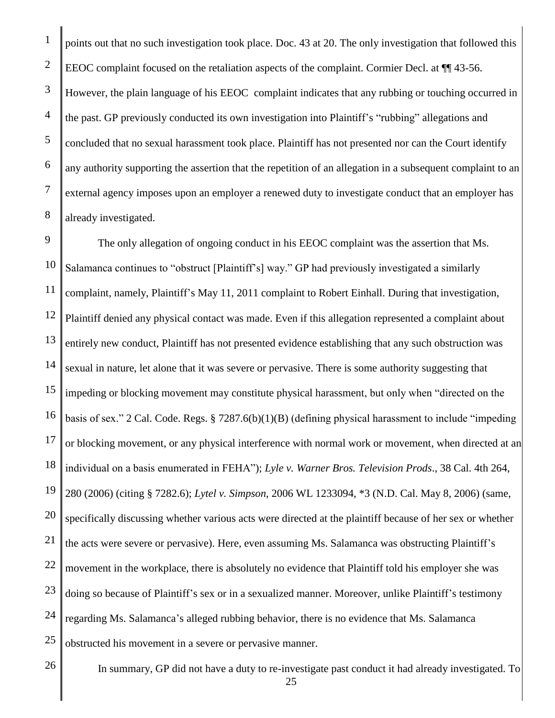1

points out that no such investigation took place. Doc. 43 at 20. The only investigation that followed this EEOC complaint focused on the retaliation aspects of the complaint. Cormier Decl. at  $\P$  43-56. However, the plain language of his EEOC complaint indicates that any rubbing or touching occurred in the past. GP previously conducted its own investigation into Plaintiff's "rubbing" allegations and concluded that no sexual harassment took place. Plaintiff has not presented nor can the Court identify any authority supporting the assertion that the repetition of an allegation in a subsequent complaint to an external agency imposes upon an employer a renewed duty to investigate conduct that an employer has already investigated.

25 The only allegation of ongoing conduct in his EEOC complaint was the assertion that Ms. Salamanca continues to "obstruct [Plaintiff's] way." GP had previously investigated a similarly complaint, namely, Plaintiff's May 11, 2011 complaint to Robert Einhall. During that investigation, Plaintiff denied any physical contact was made. Even if this allegation represented a complaint about entirely new conduct, Plaintiff has not presented evidence establishing that any such obstruction was sexual in nature, let alone that it was severe or pervasive. There is some authority suggesting that impeding or blocking movement may constitute physical harassment, but only when "directed on the basis of sex." 2 Cal. Code. Regs. § 7287.6(b)(1)(B) (defining physical harassment to include "impeding or blocking movement, or any physical interference with normal work or movement, when directed at an individual on a basis enumerated in FEHA"); *Lyle v. Warner Bros. Television Prods*., 38 Cal. 4th 264, 280 (2006) (citing § 7282.6); *Lytel v. Simpson*, 2006 WL 1233094, \*3 (N.D. Cal. May 8, 2006) (same, specifically discussing whether various acts were directed at the plaintiff because of her sex or whether the acts were severe or pervasive). Here, even assuming Ms. Salamanca was obstructing Plaintiff's movement in the workplace, there is absolutely no evidence that Plaintiff told his employer she was doing so because of Plaintiff's sex or in a sexualized manner. Moreover, unlike Plaintiff's testimony regarding Ms. Salamanca's alleged rubbing behavior, there is no evidence that Ms. Salamanca obstructed his movement in a severe or pervasive manner.

26

In summary, GP did not have a duty to re-investigate past conduct it had already investigated. To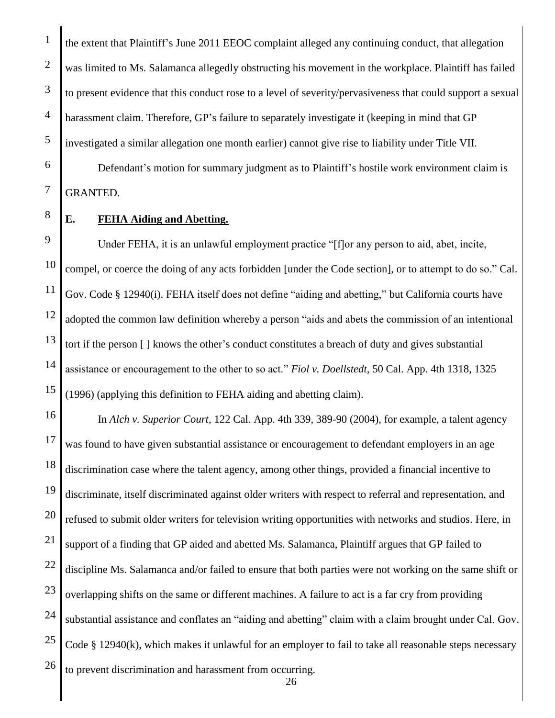the extent that Plaintiff's June 2011 EEOC complaint alleged any continuing conduct, that allegation was limited to Ms. Salamanca allegedly obstructing his movement in the workplace. Plaintiff has failed to present evidence that this conduct rose to a level of severity/pervasiveness that could support a sexual harassment claim. Therefore, GP's failure to separately investigate it (keeping in mind that GP investigated a similar allegation one month earlier) cannot give rise to liability under Title VII.

Defendant's motion for summary judgment as to Plaintiff's hostile work environment claim is GRANTED.

8 9

1

2

3

4

5

6

7

# **E. FEHA Aiding and Abetting.**

10 11 12 13 14 15 Under FEHA, it is an unlawful employment practice "[f]or any person to aid, abet, incite, compel, or coerce the doing of any acts forbidden [under the Code section], or to attempt to do so." Cal. Gov. Code § 12940(i). FEHA itself does not define "aiding and abetting," but California courts have adopted the common law definition whereby a person "aids and abets the commission of an intentional tort if the person [ ] knows the other's conduct constitutes a breach of duty and gives substantial assistance or encouragement to the other to so act." *Fiol v. Doellstedt,* 50 Cal. App. 4th 1318, 1325 (1996) (applying this definition to FEHA aiding and abetting claim).

16 17 18 19 20 21 22 23 24 25 26 In *Alch v. Superior Court*, 122 Cal. App. 4th 339, 389-90 (2004), for example, a talent agency was found to have given substantial assistance or encouragement to defendant employers in an age discrimination case where the talent agency, among other things, provided a financial incentive to discriminate, itself discriminated against older writers with respect to referral and representation, and refused to submit older writers for television writing opportunities with networks and studios. Here, in support of a finding that GP aided and abetted Ms. Salamanca, Plaintiff argues that GP failed to discipline Ms. Salamanca and/or failed to ensure that both parties were not working on the same shift or overlapping shifts on the same or different machines. A failure to act is a far cry from providing substantial assistance and conflates an "aiding and abetting" claim with a claim brought under Cal. Gov. Code § 12940(k), which makes it unlawful for an employer to fail to take all reasonable steps necessary to prevent discrimination and harassment from occurring.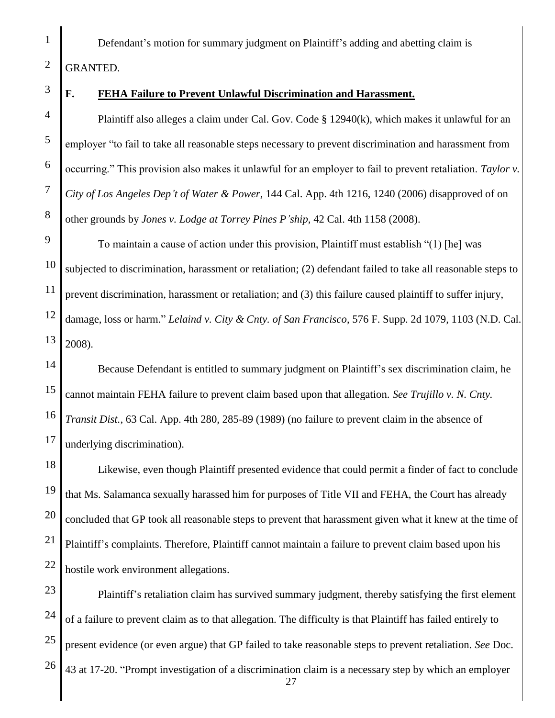Defendant's motion for summary judgment on Plaintiff's adding and abetting claim is GRANTED.

# **F. FEHA Failure to Prevent Unlawful Discrimination and Harassment.**

Plaintiff also alleges a claim under Cal. Gov. Code § 12940(k), which makes it unlawful for an employer "to fail to take all reasonable steps necessary to prevent discrimination and harassment from occurring." This provision also makes it unlawful for an employer to fail to prevent retaliation. *Taylor v. City of Los Angeles Dep't of Water & Power*, 144 Cal. App. 4th 1216, 1240 (2006) disapproved of on other grounds by *Jones v. Lodge at Torrey Pines P'ship*, 42 Cal. 4th 1158 (2008).

10 11 12 13 To maintain a cause of action under this provision, Plaintiff must establish "(1) [he] was subjected to discrimination, harassment or retaliation; (2) defendant failed to take all reasonable steps to prevent discrimination, harassment or retaliation; and (3) this failure caused plaintiff to suffer injury, damage, loss or harm." *Lelaind v. City & Cnty. of San Francisco*, 576 F. Supp. 2d 1079, 1103 (N.D. Cal. 2008).

14 15 16 17 Because Defendant is entitled to summary judgment on Plaintiff's sex discrimination claim, he cannot maintain FEHA failure to prevent claim based upon that allegation. *See Trujillo v. N. Cnty. Transit Dist.*, 63 Cal. App. 4th 280, 285-89 (1989) (no failure to prevent claim in the absence of underlying discrimination).

18 19 20 21 22 Likewise, even though Plaintiff presented evidence that could permit a finder of fact to conclude that Ms. Salamanca sexually harassed him for purposes of Title VII and FEHA, the Court has already concluded that GP took all reasonable steps to prevent that harassment given what it knew at the time of Plaintiff's complaints. Therefore, Plaintiff cannot maintain a failure to prevent claim based upon his hostile work environment allegations.

23 24 25 26 27 Plaintiff's retaliation claim has survived summary judgment, thereby satisfying the first element of a failure to prevent claim as to that allegation. The difficulty is that Plaintiff has failed entirely to present evidence (or even argue) that GP failed to take reasonable steps to prevent retaliation. *See* Doc. 43 at 17-20. "Prompt investigation of a discrimination claim is a necessary step by which an employer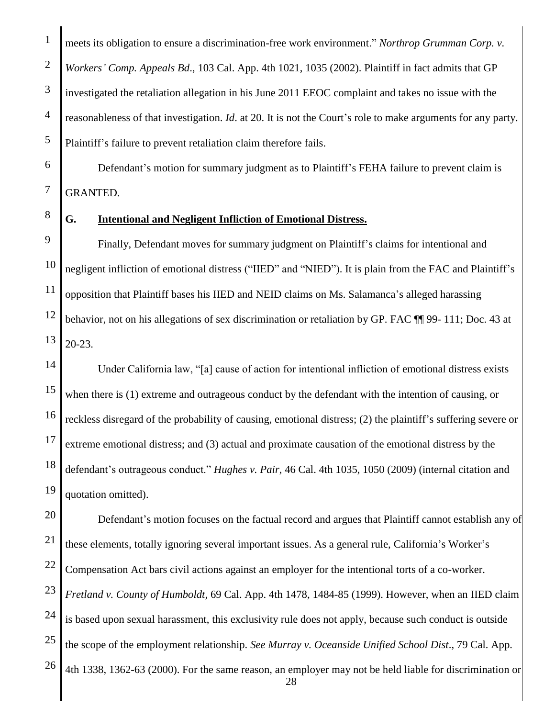1 2 3 4 5 meets its obligation to ensure a discrimination-free work environment." *Northrop Grumman Corp. v. Workers' Comp. Appeals Bd*., 103 Cal. App. 4th 1021, 1035 (2002). Plaintiff in fact admits that GP investigated the retaliation allegation in his June 2011 EEOC complaint and takes no issue with the reasonableness of that investigation. *Id*. at 20. It is not the Court's role to make arguments for any party. Plaintiff's failure to prevent retaliation claim therefore fails.

Defendant's motion for summary judgment as to Plaintiff's FEHA failure to prevent claim is GRANTED.

8

9

6

7

# **G. Intentional and Negligent Infliction of Emotional Distress.**

10 11 12 13 Finally, Defendant moves for summary judgment on Plaintiff's claims for intentional and negligent infliction of emotional distress ("IIED" and "NIED"). It is plain from the FAC and Plaintiff's opposition that Plaintiff bases his IIED and NEID claims on Ms. Salamanca's alleged harassing behavior, not on his allegations of sex discrimination or retaliation by GP. FAC ¶¶ 99- 111; Doc. 43 at 20-23.

14 15 16 17 18 19 Under California law, "[a] cause of action for intentional infliction of emotional distress exists when there is (1) extreme and outrageous conduct by the defendant with the intention of causing, or reckless disregard of the probability of causing, emotional distress; (2) the plaintiff's suffering severe or extreme emotional distress; and (3) actual and proximate causation of the emotional distress by the defendant's outrageous conduct." *Hughes v. Pair*, 46 Cal. 4th 1035, 1050 (2009) (internal citation and quotation omitted).

20 21 22 23 24 25 26 28 Defendant's motion focuses on the factual record and argues that Plaintiff cannot establish any of these elements, totally ignoring several important issues. As a general rule, California's Worker's Compensation Act bars civil actions against an employer for the intentional torts of a co-worker. *Fretland v. County of Humboldt,* 69 Cal. App. 4th 1478, 1484-85 (1999). However, when an IIED claim is based upon sexual harassment, this exclusivity rule does not apply, because such conduct is outside the scope of the employment relationship. *See Murray v. Oceanside Unified School Dist*., 79 Cal. App. 4th 1338, 1362-63 (2000). For the same reason, an employer may not be held liable for discrimination or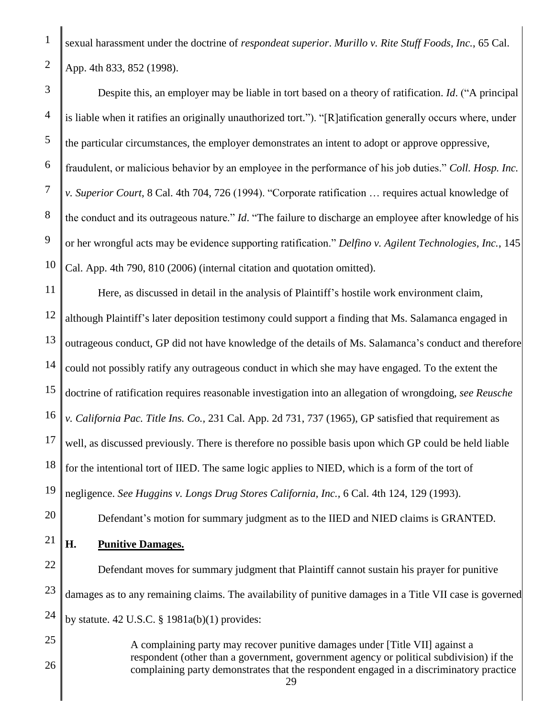sexual harassment under the doctrine of *respondeat superior*. *Murillo v. Rite Stuff Foods, Inc.*, 65 Cal. App. 4th 833, 852 (1998).

3 4 5 6 7 8 9 10 Despite this, an employer may be liable in tort based on a theory of ratification. *Id*. ("A principal is liable when it ratifies an originally unauthorized tort."). "[R]atification generally occurs where, under the particular circumstances, the employer demonstrates an intent to adopt or approve oppressive, fraudulent, or malicious behavior by an employee in the performance of his job duties." *Coll. Hosp. Inc. v. Superior Court*, 8 Cal. 4th 704, 726 (1994). "Corporate ratification … requires actual knowledge of the conduct and its outrageous nature." *Id*. "The failure to discharge an employee after knowledge of his or her wrongful acts may be evidence supporting ratification." *Delfino v. Agilent Technologies, Inc.*, 145 Cal. App. 4th 790, 810 (2006) (internal citation and quotation omitted).

11 12 13 14 15 16 17 18 19 Here, as discussed in detail in the analysis of Plaintiff's hostile work environment claim, although Plaintiff's later deposition testimony could support a finding that Ms. Salamanca engaged in outrageous conduct, GP did not have knowledge of the details of Ms. Salamanca's conduct and therefore could not possibly ratify any outrageous conduct in which she may have engaged. To the extent the doctrine of ratification requires reasonable investigation into an allegation of wrongdoing, *see Reusche v. California Pac. Title Ins. Co.,* 231 Cal. App. 2d 731, 737 (1965), GP satisfied that requirement as well, as discussed previously. There is therefore no possible basis upon which GP could be held liable for the intentional tort of IIED. The same logic applies to NIED, which is a form of the tort of negligence. *See Huggins v. Longs Drug Stores California, Inc.,* 6 Cal. 4th 124, 129 (1993).

Defendant's motion for summary judgment as to the IIED and NIED claims is GRANTED.

#### 21 **H. Punitive Damages.**

20

1

2

22 23 24 Defendant moves for summary judgment that Plaintiff cannot sustain his prayer for punitive damages as to any remaining claims. The availability of punitive damages in a Title VII case is governed by statute.  $42 \text{ U.S.C. }$  §  $1981a(b)(1)$  provides:

25 26 A complaining party may recover punitive damages under [Title VII] against a respondent (other than a government, government agency or political subdivision) if the complaining party demonstrates that the respondent engaged in a discriminatory practice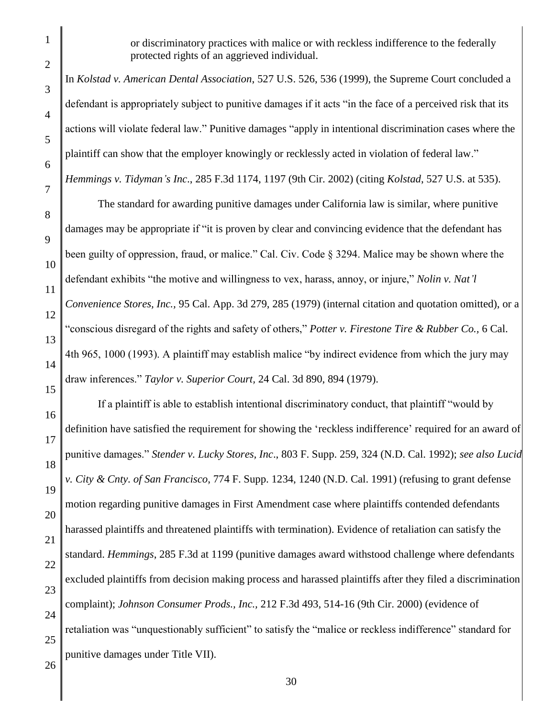or discriminatory practices with malice or with reckless indifference to the federally protected rights of an aggrieved individual.

In *Kolstad v. American Dental Association*, 527 U.S. 526, 536 (1999), the Supreme Court concluded a defendant is appropriately subject to punitive damages if it acts "in the face of a perceived risk that its actions will violate federal law." Punitive damages "apply in intentional discrimination cases where the plaintiff can show that the employer knowingly or recklessly acted in violation of federal law." *Hemmings v. Tidyman's Inc*., 285 F.3d 1174, 1197 (9th Cir. 2002) (citing *Kolstad*, 527 U.S. at 535).

10 11 12 13 14 The standard for awarding punitive damages under California law is similar, where punitive damages may be appropriate if "it is proven by clear and convincing evidence that the defendant has been guilty of oppression, fraud, or malice." Cal. Civ. Code § 3294. Malice may be shown where the defendant exhibits "the motive and willingness to vex, harass, annoy, or injure," *Nolin v. Nat'l Convenience Stores, Inc.,* 95 Cal. App. 3d 279, 285 (1979) (internal citation and quotation omitted), or a "conscious disregard of the rights and safety of others," *Potter v. Firestone Tire & Rubber Co.,* 6 Cal. 4th 965, 1000 (1993). A plaintiff may establish malice "by indirect evidence from which the jury may draw inferences." *Taylor v. Superior Court,* 24 Cal. 3d 890, 894 (1979).

16 17 18 19 20 21 22 23 24 25 If a plaintiff is able to establish intentional discriminatory conduct, that plaintiff "would by definition have satisfied the requirement for showing the 'reckless indifference' required for an award of punitive damages." *Stender v. Lucky Stores, Inc*., 803 F. Supp. 259, 324 (N.D. Cal. 1992); *see also Lucid v. City & Cnty. of San Francisco*, 774 F. Supp. 1234, 1240 (N.D. Cal. 1991) (refusing to grant defense motion regarding punitive damages in First Amendment case where plaintiffs contended defendants harassed plaintiffs and threatened plaintiffs with termination). Evidence of retaliation can satisfy the standard. *Hemmings*, 285 F.3d at 1199 (punitive damages award withstood challenge where defendants excluded plaintiffs from decision making process and harassed plaintiffs after they filed a discrimination complaint); *Johnson Consumer Prods., Inc.,* 212 F.3d 493, 514-16 (9th Cir. 2000) (evidence of retaliation was "unquestionably sufficient" to satisfy the "malice or reckless indifference" standard for punitive damages under Title VII).

9

15

1